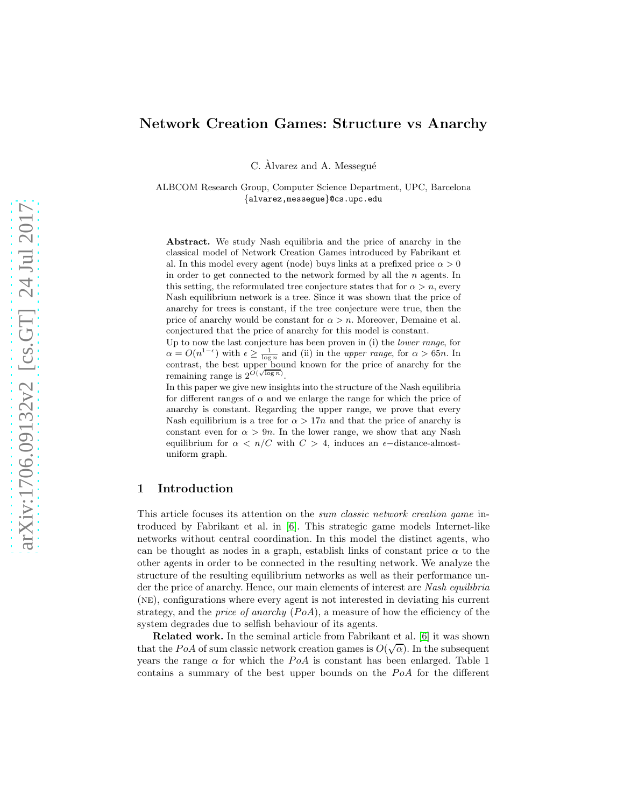# Network Creation Games: Structure vs Anarchy

C. Àlvarez and A. Messegué

ALBCOM Research Group, Computer Science Department, UPC, Barcelona {alvarez,messegue}@cs.upc.edu

Abstract. We study Nash equilibria and the price of anarchy in the classical model of Network Creation Games introduced by Fabrikant et al. In this model every agent (node) buys links at a prefixed price  $\alpha > 0$ in order to get connected to the network formed by all the  $n$  agents. In this setting, the reformulated tree conjecture states that for  $\alpha > n$ , every Nash equilibrium network is a tree. Since it was shown that the price of anarchy for trees is constant, if the tree conjecture were true, then the price of anarchy would be constant for  $\alpha > n$ . Moreover, Demaine et al. conjectured that the price of anarchy for this model is constant.

Up to now the last conjecture has been proven in (i) the lower range, for  $\alpha = O(n^{1-\epsilon})$  with  $\epsilon \geq \frac{1}{\log n}$  and (ii) in the upper range, for  $\alpha > 65n$ . In contrast, the best upper bound known for the price of anarchy for the remaining range is  $2^{\tilde{O}(\sqrt{\log n})}$ .

In this paper we give new insights into the structure of the Nash equilibria for different ranges of  $\alpha$  and we enlarge the range for which the price of anarchy is constant. Regarding the upper range, we prove that every Nash equilibrium is a tree for  $\alpha > 17n$  and that the price of anarchy is constant even for  $\alpha > 9n$ . In the lower range, we show that any Nash equilibrium for  $\alpha < n/C$  with  $C > 4$ , induces an  $\epsilon$ -distance-almostuniform graph.

### 1 Introduction

This article focuses its attention on the sum classic network creation game introduced by Fabrikant et al. in [\[6\]](#page-21-0). This strategic game models Internet-like networks without central coordination. In this model the distinct agents, who can be thought as nodes in a graph, establish links of constant price  $\alpha$  to the other agents in order to be connected in the resulting network. We analyze the structure of the resulting equilibrium networks as well as their performance under the price of anarchy. Hence, our main elements of interest are Nash equilibria (ne), configurations where every agent is not interested in deviating his current strategy, and the *price of anarchy*  $(P_0A)$ , a measure of how the efficiency of the system degrades due to selfish behaviour of its agents.

Related work. In the seminal article from Fabrikant et al. [\[6\]](#page-21-0) it was shown that the PoA of sum classic network creation games is  $O(\sqrt{\alpha})$ . In the subsequent years the range  $\alpha$  for which the PoA is constant has been enlarged. Table 1 contains a summary of the best upper bounds on the  $PoA$  for the different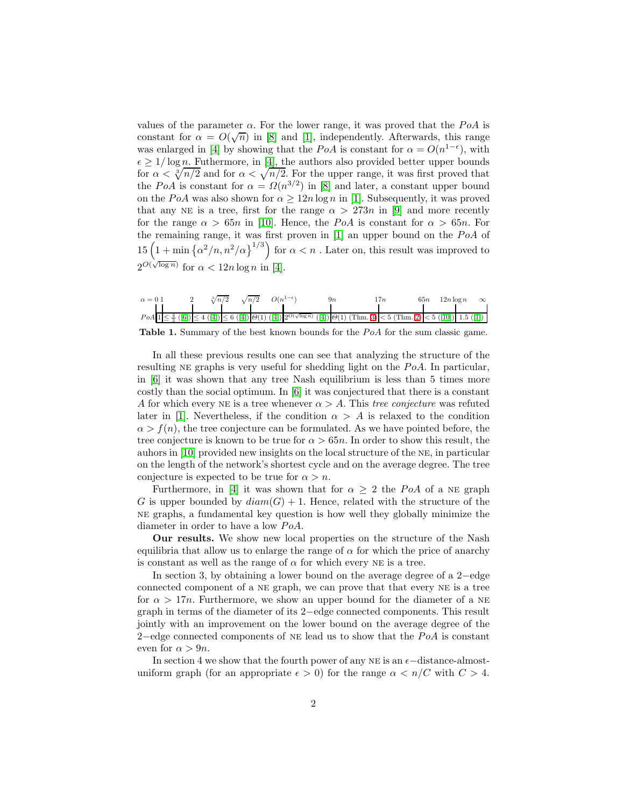values of the parameter  $\alpha$ . For the lower range, it was proved that the PoA is constant for  $\alpha = O(\sqrt{n})$  in [\[8\]](#page-21-1) and [\[1\]](#page-20-0), independently. Afterwards, this range was enlarged in [\[4\]](#page-20-1) by showing that the PoA is constant for  $\alpha = O(n^{1-\epsilon})$ , with  $\epsilon \geq 1/\log n$ . Futhermore, in [\[4\]](#page-20-1), the authors also provided better upper bounds for  $\alpha < \sqrt[n]{n/2}$  and for  $\alpha < \sqrt{n/2}$ . For the upper range, it was first proved that the PoA is constant for  $\alpha = \Omega(n^{3/2})$  in [\[8\]](#page-21-1) and later, a constant upper bound on the PoA was also shown for  $\alpha \geq 12n \log n$  in [\[1\]](#page-20-0). Subsequently, it was proved that any NE is a tree, first for the range  $\alpha > 273n$  in [\[9\]](#page-21-2) and more recently for the range  $\alpha > 65n$  in [\[10\]](#page-21-3). Hence, the PoA is constant for  $\alpha > 65n$ . For the remaining range, it was first proven in  $[1]$  an upper bound on the  $PoA$  of  $15\left(1+\min\left\{\alpha^2/n, n^2/\alpha\right\}^{1/3}\right)$  for  $\alpha < n$  . Later on, this result was improved to  $2^{O(\sqrt{\log n})}$  for  $\alpha < 12n \log n$  in [\[4\]](#page-20-1).

| $\alpha = 0.1$ |  | $\sqrt[3]{n/2}$ | $\sqrt{n/2}$ $O(n^{1-\epsilon})$ | Чm                                                                                                                                                                                                                                                                                                                                      | 65n<br>$12n \log n$ | $\infty$ |
|----------------|--|-----------------|----------------------------------|-----------------------------------------------------------------------------------------------------------------------------------------------------------------------------------------------------------------------------------------------------------------------------------------------------------------------------------------|---------------------|----------|
|                |  |                 |                                  |                                                                                                                                                                                                                                                                                                                                         |                     |          |
|                |  |                 |                                  | $PoA \left[ \frac{4}{5} \left( [6] \right) \right] \leq 4 \left( [4] \right) \leq 6 \left( [4] \right) \left[ \Theta(1) \left( [4] \right) \right] 2^{O(\sqrt{\log n})} \left( [4] \right) \Theta(1) \left( \text{Thm. 3} \right) \leq 5 \left( \text{Thm. 2} \right) \leq 5 \left( [10] \right) \left[ 1.5 \left( [1] \right) \right]$ |                     |          |

Table 1. Summary of the best known bounds for the  $PoA$  for the sum classic game.

In all these previous results one can see that analyzing the structure of the resulting NE graphs is very useful for shedding light on the  $PoA$ . In particular, in [\[6\]](#page-21-0) it was shown that any tree Nash equilibrium is less than 5 times more costly than the social optimum. In [\[6\]](#page-21-0) it was conjectured that there is a constant A for which every NE is a tree whenever  $\alpha > A$ . This tree conjecture was refuted later in [\[1\]](#page-20-0). Nevertheless, if the condition  $\alpha > A$  is relaxed to the condition  $\alpha > f(n)$ , the tree conjecture can be formulated. As we have pointed before, the tree conjecture is known to be true for  $\alpha > 65n$ . In order to show this result, the auhors in [\[10\]](#page-21-3) provided new insights on the local structure of the ne, in particular on the length of the network's shortest cycle and on the average degree. The tree conjecture is expected to be true for  $\alpha > n$ .

Furthermore, in [\[4\]](#page-20-1) it was shown that for  $\alpha > 2$  the PoA of a NE graph G is upper bounded by  $diam(G) + 1$ . Hence, related with the structure of the ne graphs, a fundamental key question is how well they globally minimize the diameter in order to have a low  $PoA$ .

Our results. We show new local properties on the structure of the Nash equilibria that allow us to enlarge the range of  $\alpha$  for which the price of anarchy is constant as well as the range of  $\alpha$  for which every NE is a tree.

In section 3, by obtaining a lower bound on the average degree of a 2−edge connected component of a ne graph, we can prove that that every ne is a tree for  $\alpha > 17n$ . Furthermore, we show an upper bound for the diameter of a NE graph in terms of the diameter of its 2−edge connected components. This result jointly with an improvement on the lower bound on the average degree of the 2–edge connected components of NE lead us to show that the  $PoA$  is constant even for  $\alpha > 9n$ .

In section 4 we show that the fourth power of any NE is an  $\epsilon$ −distance-almostuniform graph (for an appropriate  $\epsilon > 0$ ) for the range  $\alpha < n/C$  with  $C > 4$ .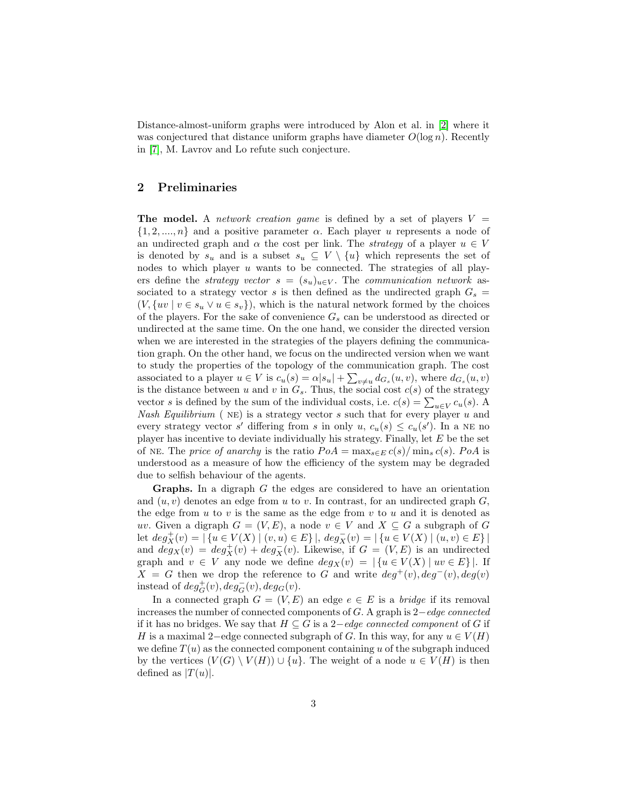Distance-almost-uniform graphs were introduced by Alon et al. in [\[2\]](#page-20-2) where it was conjectured that distance uniform graphs have diameter  $O(\log n)$ . Recently in [\[7\]](#page-21-4), M. Lavrov and Lo refute such conjecture.

## 2 Preliminaries

The model. A *network creation game* is defined by a set of players  $V =$  $\{1, 2, ..., n\}$  and a positive parameter  $\alpha$ . Each player u represents a node of an undirected graph and  $\alpha$  the cost per link. The *strategy* of a player  $u \in V$ is denoted by  $s_u$  and is a subset  $s_u \subseteq V \setminus \{u\}$  which represents the set of nodes to which player  $u$  wants to be connected. The strategies of all players define the *strategy vector*  $s = (s_u)_{u \in V}$ . The *communication network* associated to a strategy vector s is then defined as the undirected graph  $G_s =$  $(V, \{uv \mid v \in s_u \lor u \in s_v\}),$  which is the natural network formed by the choices of the players. For the sake of convenience  $G_s$  can be understood as directed or undirected at the same time. On the one hand, we consider the directed version when we are interested in the strategies of the players defining the communication graph. On the other hand, we focus on the undirected version when we want to study the properties of the topology of the communication graph. The cost associated to a player  $u \in V$  is  $c_u(s) = \alpha |s_u| + \sum_{v \neq u} d_{G_s}(u, v)$ , where  $d_{G_s}(u, v)$ is the distance between u and v in  $G_s$ . Thus, the social cost  $c(s)$  of the strategy vector s is defined by the sum of the individual costs, i.e.  $c(s) = \sum_{u \in V} c_u(s)$ . Nash Equilibrium ( $NE$ ) is a strategy vector s such that for every player u and every strategy vector s' differing from s in only  $u, c_u(s) \leq c_u(s')$ . In a NE no player has incentive to deviate individually his strategy. Finally, let E be the set of NE. The price of anarchy is the ratio  $PoA = \max_{s \in E} c(s) / \min_s c(s)$ . PoA is understood as a measure of how the efficiency of the system may be degraded due to selfish behaviour of the agents.

**Graphs.** In a digraph  $G$  the edges are considered to have an orientation and  $(u, v)$  denotes an edge from u to v. In contrast, for an undirected graph  $G$ , the edge from  $u$  to  $v$  is the same as the edge from  $v$  to  $u$  and it is denoted as uv. Given a digraph  $G = (V, E)$ , a node  $v \in V$  and  $X \subseteq G$  a subgraph of G  $\text{let } deg_X^+(v) = |\left\{u \in V(X) \mid (v,u) \in E\right\}|, \, deg_X^-(v) = |\left\{u \in V(X) \mid (u,v) \in E\right\}|$ and  $deg_X(v) = deg_X^+(v) + deg_X^-(v)$ . Likewise, if  $G = (V, E)$  is an undirected graph and  $v \in V$  any node we define  $deg_X(v) = |\{u \in V(X) \mid uv \in E\}|$ . If  $X = G$  then we drop the reference to G and write  $deg^+(v)$ ,  $deg^-(v)$ ,  $deg(v)$ instead of  $deg_G^+(v)$ ,  $deg_G^-(v)$ ,  $deg_G(v)$ .

In a connected graph  $G = (V, E)$  an edge  $e \in E$  is a *bridge* if its removal increases the number of connected components of G. A graph is 2−edge connected if it has no bridges. We say that  $H \subseteq G$  is a 2-edge connected component of G if H is a maximal 2–edge connected subgraph of G. In this way, for any  $u \in V(H)$ we define  $T(u)$  as the connected component containing u of the subgraph induced by the vertices  $(V(G) \setminus V(H)) \cup \{u\}$ . The weight of a node  $u \in V(H)$  is then defined as  $|T(u)|$ .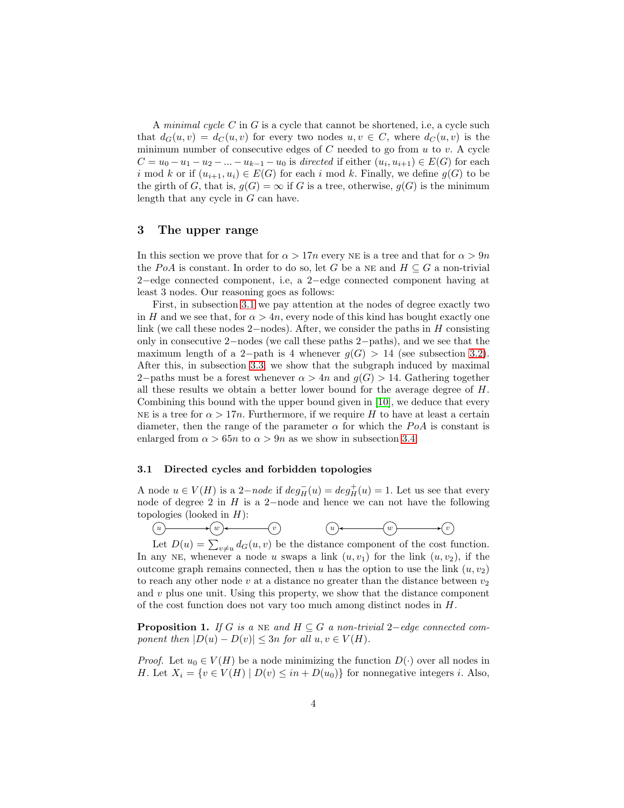A minimal cycle C in G is a cycle that cannot be shortened, i.e, a cycle such that  $d_G(u, v) = d_G(u, v)$  for every two nodes  $u, v \in C$ , where  $d_G(u, v)$  is the minimum number of consecutive edges of  $C$  needed to go from  $u$  to  $v$ . A cycle  $C = u_0 - u_1 - u_2 - \dots - u_{k-1} - u_0$  is directed if either  $(u_i, u_{i+1}) \in E(G)$  for each i mod k or if  $(u_{i+1}, u_i) \in E(G)$  for each i mod k. Finally, we define  $g(G)$  to be the girth of G, that is,  $g(G) = \infty$  if G is a tree, otherwise,  $g(G)$  is the minimum length that any cycle in G can have.

## 3 The upper range

In this section we prove that for  $\alpha > 17n$  every NE is a tree and that for  $\alpha > 9n$ the PoA is constant. In order to do so, let G be a NE and  $H \subseteq G$  a non-trivial 2−edge connected component, i.e, a 2−edge connected component having at least 3 nodes. Our reasoning goes as follows:

First, in subsection [3.1](#page-3-0) we pay attention at the nodes of degree exactly two in H and we see that, for  $\alpha > 4n$ , every node of this kind has bought exactly one link (we call these nodes 2–nodes). After, we consider the paths in  $H$  consisting only in consecutive 2−nodes (we call these paths 2−paths), and we see that the maximum length of a 2-path is 4 whenever  $g(G) > 14$  (see subsection [3.2\)](#page-5-0). After this, in subsection [3.3,](#page-9-0) we show that the subgraph induced by maximal 2–paths must be a forest whenever  $\alpha > 4n$  and  $q(G) > 14$ . Gathering together all these results we obtain a better lower bound for the average degree of  $H$ . Combining this bound with the upper bound given in [\[10\]](#page-21-3), we deduce that every NE is a tree for  $\alpha > 17n$ . Furthermore, if we require H to have at least a certain diameter, then the range of the parameter  $\alpha$  for which the PoA is constant is enlarged from  $\alpha > 65n$  to  $\alpha > 9n$  as we show in subsection [3.4.](#page-10-1)

### <span id="page-3-0"></span>3.1 Directed cycles and forbidden topologies

A node  $u \in V(H)$  is a 2-node if  $deg_H^-(u) = deg_H^+(u) = 1$ . Let us see that every node of degree 2 in H is a 2−node and hence we can not have the following topologies (looked in  $H$ ):<br>(*u*)  $\longrightarrow$  (*w*)  $\longrightarrow$  (*v*)

 $\underbrace{(w)}{\underbrace{w}}{\underbrace{w}}$ Let  $D(u) = \sum_{v \neq u} d_G(u, v)$  be the distance component of the cost function. In any NE, whenever a node u swaps a link  $(u, v_1)$  for the link  $(u, v_2)$ , if the outcome graph remains connected, then u has the option to use the link  $(u, v_2)$ to reach any other node v at a distance no greater than the distance between  $v_2$ and  $v$  plus one unit. Using this property, we show that the distance component of the cost function does not vary too much among distinct nodes in H.

<span id="page-3-1"></span>**Proposition 1.** If G is a NE and  $H \subseteq G$  a non-trivial 2-edge connected component then  $|D(u) - D(v)| \leq 3n$  for all  $u, v \in V(H)$ .

*Proof.* Let  $u_0 \in V(H)$  be a node minimizing the function  $D(\cdot)$  over all nodes in H. Let  $X_i = \{v \in V(H) \mid D(v) \leq in + D(u_0)\}\$ for nonnegative integers i. Also,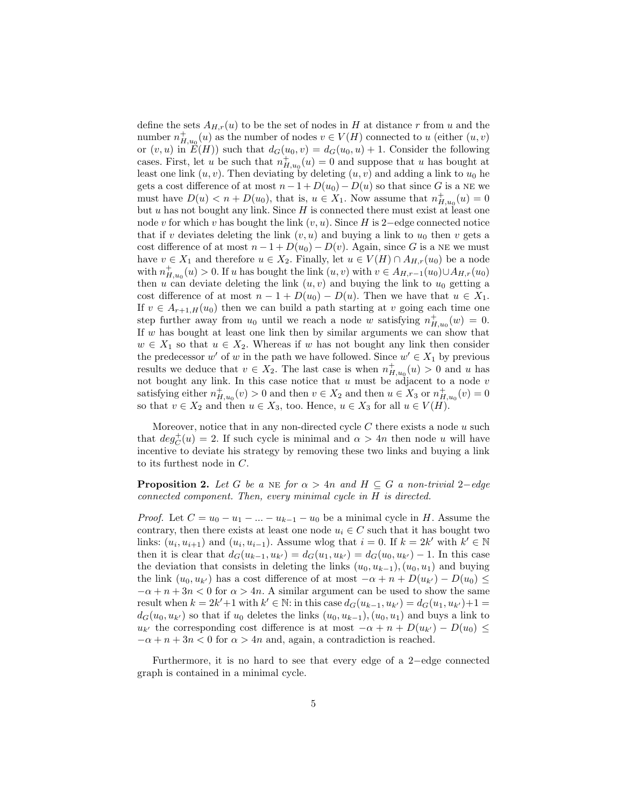define the sets  $A_{H,r}(u)$  to be the set of nodes in H at distance r from u and the number  $n_{H,u_0}^+(u)$  as the number of nodes  $v \in V(H)$  connected to u (either  $(u, v)$ ) or  $(v, u)$  in  $E(H)$  such that  $d_G(u_0, v) = d_G(u_0, u) + 1$ . Consider the following cases. First, let u be such that  $n_{H,u_0}^+(u) = 0$  and suppose that u has bought at least one link  $(u, v)$ . Then deviating by deleting  $(u, v)$  and adding a link to  $u_0$  he gets a cost difference of at most  $n - 1 + D(u_0) - D(u)$  so that since G is a NE we must have  $D(u) < n + D(u_0)$ , that is,  $u \in X_1$ . Now assume that  $n_{H,u_0}^+(u) = 0$ but u has not bought any link. Since  $H$  is connected there must exist at least one node v for which v has bought the link  $(v, u)$ . Since H is 2−edge connected notice that if v deviates deleting the link  $(v, u)$  and buying a link to  $u_0$  then v gets a cost difference of at most  $n - 1 + D(u_0) - D(v)$ . Again, since G is a NE we must have  $v \in X_1$  and therefore  $u \in X_2$ . Finally, let  $u \in V(H) \cap A_{H,r}(u_0)$  be a node with  $n_{H,u_0}^+(u) > 0$ . If u has bought the link  $(u, v)$  with  $v \in A_{H,r-1}(u_0) \cup A_{H,r}(u_0)$ then u can deviate deleting the link  $(u, v)$  and buying the link to  $u_0$  getting a cost difference of at most  $n - 1 + D(u_0) - D(u)$ . Then we have that  $u \in X_1$ . If  $v \in A_{r+1,H}(u_0)$  then we can build a path starting at v going each time one step further away from  $u_0$  until we reach a node w satisfying  $n_{H,u_0}^+(w) = 0$ . If w has bought at least one link then by similar arguments we can show that  $w \in X_1$  so that  $u \in X_2$ . Whereas if w has not bought any link then consider the predecessor  $w'$  of w in the path we have followed. Since  $w' \in X_1$  by previous results we deduce that  $v \in X_2$ . The last case is when  $n^+_{H,u_0}(u) > 0$  and u has not bought any link. In this case notice that  $u$  must be adjacent to a node  $v$ satisfying either  $n_{H,u_0}^+(v) > 0$  and then  $v \in X_2$  and then  $u \in X_3$  or  $n_{H,u_0}^+(v) = 0$ so that  $v \in X_2$  and then  $u \in X_3$ , too. Hence,  $u \in X_3$  for all  $u \in V(H)$ .

Moreover, notice that in any non-directed cycle  $C$  there exists a node  $u$  such that  $deg_C^+(u) = 2$ . If such cycle is minimal and  $\alpha > 4n$  then node u will have incentive to deviate his strategy by removing these two links and buying a link to its furthest node in C.

<span id="page-4-0"></span>**Proposition 2.** Let G be a NE for  $\alpha > 4n$  and  $H \subseteq G$  a non-trivial 2–edge connected component. Then, every minimal cycle in H is directed.

*Proof.* Let  $C = u_0 - u_1 - ... - u_{k-1} - u_0$  be a minimal cycle in H. Assume the contrary, then there exists at least one node  $u_i \in C$  such that it has bought two links:  $(u_i, u_{i+1})$  and  $(u_i, u_{i-1})$ . Assume wlog that  $i = 0$ . If  $k = 2k'$  with  $k' \in \mathbb{N}$ then it is clear that  $d_G(u_{k-1}, u_{k'}) = d_G(u_1, u_{k'}) = d_G(u_0, u_{k'}) - 1$ . In this case the deviation that consists in deleting the links  $(u_0, u_{k-1}), (u_0, u_1)$  and buying the link  $(u_0, u_{k'})$  has a cost difference of at most  $-\alpha + n + D(u_{k'}) - D(u_0) \leq$  $-\alpha + n + 3n < 0$  for  $\alpha > 4n$ . A similar argument can be used to show the same result when  $k = 2k' + 1$  with  $k' \in \mathbb{N}$ : in this case  $d_G(u_{k-1}, u_{k'}) = d_G(u_1, u_{k'}) + 1 =$  $d_G(u_0, u_{k'})$  so that if  $u_0$  deletes the links  $(u_0, u_{k-1}), (u_0, u_1)$  and buys a link to  $u_{k'}$  the corresponding cost difference is at most  $-\alpha + n + D(u_{k'}) - D(u_0) \leq$  $-\alpha + n + 3n < 0$  for  $\alpha > 4n$  and, again, a contradiction is reached.

<span id="page-4-1"></span>Furthermore, it is no hard to see that every edge of a 2−edge connected graph is contained in a minimal cycle.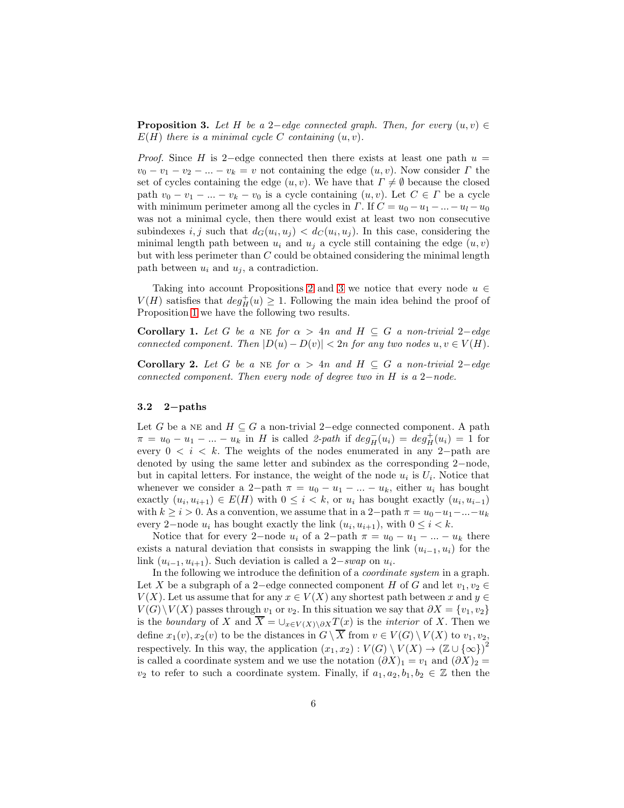**Proposition 3.** Let H be a 2-edge connected graph. Then, for every  $(u, v) \in$  $E(H)$  there is a minimal cycle C containing  $(u, v)$ .

*Proof.* Since H is 2-edge connected then there exists at least one path  $u =$  $v_0 - v_1 - v_2 - \ldots - v_k = v$  not containing the edge  $(u, v)$ . Now consider  $\Gamma$  the set of cycles containing the edge  $(u, v)$ . We have that  $\Gamma \neq \emptyset$  because the closed path  $v_0 - v_1 - ... - v_k - v_0$  is a cycle containing  $(u, v)$ . Let  $C \in \Gamma$  be a cycle with minimum perimeter among all the cycles in  $\Gamma$ . If  $C = u_0 - u_1 - ... - u_l - u_0$ was not a minimal cycle, then there would exist at least two non consecutive subindexes i, j such that  $d_G(u_i, u_j) < d_G(u_i, u_j)$ . In this case, considering the minimal length path between  $u_i$  and  $u_j$  a cycle still containing the edge  $(u, v)$ but with less perimeter than C could be obtained considering the minimal length path between  $u_i$  and  $u_j$ , a contradiction.

Taking into account Propositions [2](#page-4-0) and [3](#page-4-1) we notice that every node  $u \in$  $V(H)$  satisfies that  $deg^+(H) \geq 1$ . Following the main idea behind the proof of Proposition [1](#page-3-1) we have the following two results.

<span id="page-5-1"></span>Corollary 1. Let G be a NE for  $\alpha > 4n$  and  $H \subseteq G$  a non-trivial 2-edge connected component. Then  $|D(u) - D(v)| < 2n$  for any two nodes  $u, v \in V(H)$ .

Corollary 2. Let G be a NE for  $\alpha > 4n$  and  $H \subseteq G$  a non-trivial 2-edge connected component. Then every node of degree two in H is a  $2-node$ .

### <span id="page-5-0"></span>3.2 2−paths

Let G be a NE and  $H \subseteq G$  a non-trivial 2–edge connected component. A path  $\pi = u_0 - u_1 - \dots - u_k$  in H is called 2-path if  $deg^-_H(u_i) = deg^+_H(u_i) = 1$  for every  $0 \leq i \leq k$ . The weights of the nodes enumerated in any 2-path are denoted by using the same letter and subindex as the corresponding 2−node, but in capital letters. For instance, the weight of the node  $u_i$  is  $U_i$ . Notice that whenever we consider a 2-path  $\pi = u_0 - u_1 - \dots - u_k$ , either  $u_i$  has bought exactly  $(u_i, u_{i+1}) \in E(H)$  with  $0 \leq i < k$ , or  $u_i$  has bought exactly  $(u_i, u_{i-1})$ with  $k \geq i > 0$ . As a convention, we assume that in a 2-path  $\pi = u_0 - u_1 - ... - u_k$ every 2-node  $u_i$  has bought exactly the link  $(u_i, u_{i+1})$ , with  $0 \le i < k$ .

Notice that for every 2-node  $u_i$  of a 2-path  $\pi = u_0 - u_1 - ... - u_k$  there exists a natural deviation that consists in swapping the link  $(u_{i-1}, u_i)$  for the link  $(u_{i-1}, u_{i+1})$ . Such deviation is called a 2–swap on  $u_i$ .

In the following we introduce the definition of a coordinate system in a graph. Let X be a subgraph of a 2–edge connected component H of G and let  $v_1, v_2 \in$  $V(X)$ . Let us assume that for any  $x \in V(X)$  any shortest path between x and  $y \in V(X)$  $V(G) \backslash V(X)$  passes through  $v_1$  or  $v_2$ . In this situation we say that  $\partial X = \{v_1, v_2\}$ is the boundary of X and  $\overline{X} = \bigcup_{x \in V(X) \setminus \partial X} T(x)$  is the *interior* of X. Then we define  $x_1(v), x_2(v)$  to be the distances in  $G \setminus \overline{X}$  from  $v \in V(G) \setminus V(X)$  to  $v_1, v_2$ , respectively. In this way, the application  $(x_1, x_2) : V(G) \setminus V(X) \to (\mathbb{Z} \cup {\infty})^2$ is called a coordinate system and we use the notation  $(\partial X)_1 = v_1$  and  $(\partial X)_2 =$  $v_2$  to refer to such a coordinate system. Finally, if  $a_1, a_2, b_1, b_2 \in \mathbb{Z}$  then the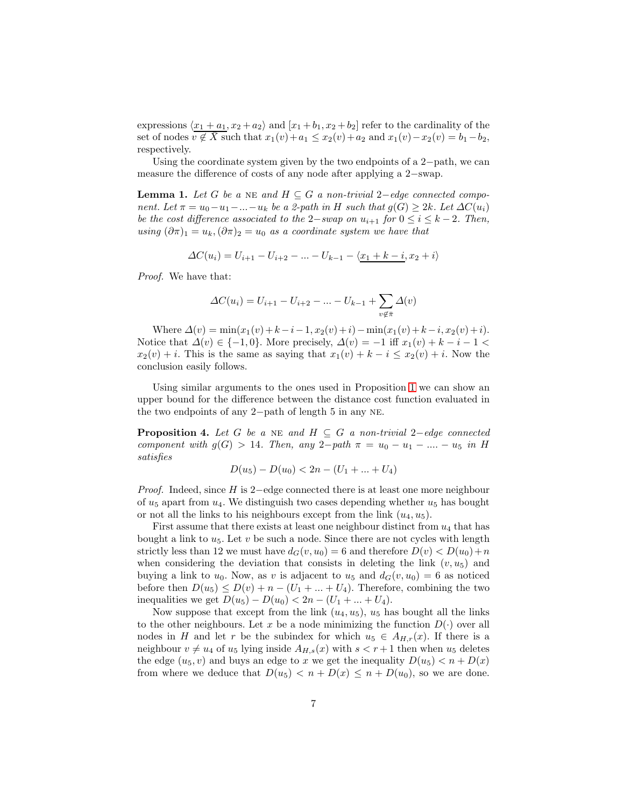expressions  $\langle x_1 + a_1, x_2 + a_2 \rangle$  and  $\langle x_1 + b_1, x_2 + b_2 \rangle$  refer to the cardinality of the set of nodes  $v \notin \overline{X}$  such that  $x_1(v)+a_1 \leq x_2(v)+a_2$  and  $x_1(v)-x_2(v) = b_1-b_2$ , respectively.

Using the coordinate system given by the two endpoints of a 2−path, we can measure the difference of costs of any node after applying a 2−swap.

**Lemma 1.** Let G be a NE and  $H \subseteq G$  a non-trivial 2-edge connected component. Let  $\pi = u_0 - u_1 - ... - u_k$  be a 2-path in H such that  $g(G) \geq 2k$ . Let  $\Delta C(u_i)$ be the cost difference associated to the 2−swap on  $u_{i+1}$  for  $0 \leq i \leq k-2$ . Then, using  $(\partial \pi)_1 = u_k, (\partial \pi)_2 = u_0$  as a coordinate system we have that

$$
\Delta C(u_i) = U_{i+1} - U_{i+2} - \ldots - U_{k-1} - \langle \underline{x}_1 + k - i, x_2 + i \rangle
$$

Proof. We have that:

$$
\Delta C(u_i) = U_{i+1} - U_{i+2} - \dots - U_{k-1} + \sum_{v \notin \bar{\pi}} \Delta(v)
$$

Where  $\Delta(v) = \min(x_1(v) + k - i - 1, x_2(v) + i) - \min(x_1(v) + k - i, x_2(v) + i).$ Notice that  $\Delta(v) \in \{-1, 0\}$ . More precisely,  $\Delta(v) = -1$  iff  $x_1(v) + k - i - 1 <$  $x_2(v) + i$ . This is the same as saying that  $x_1(v) + k - i \leq x_2(v) + i$ . Now the conclusion easily follows.

Using similar arguments to the ones used in Proposition [1](#page-3-1) we can show an upper bound for the difference between the distance cost function evaluated in the two endpoints of any 2−path of length 5 in any ne.

**Proposition 4.** Let G be a NE and  $H \subseteq G$  a non-trivial 2-edge connected component with  $g(G) > 14$ . Then, any 2-path  $\pi = u_0 - u_1 - \dots - u_5$  in H satisfies

$$
D(u_5) - D(u_0) < 2n - (U_1 + \dots + U_4)
$$

Proof. Indeed, since H is 2−edge connected there is at least one more neighbour of  $u_5$  apart from  $u_4$ . We distinguish two cases depending whether  $u_5$  has bought or not all the links to his neighbours except from the link  $(u_4, u_5)$ .

First assume that there exists at least one neighbour distinct from  $u_4$  that has bought a link to  $u_5$ . Let  $v$  be such a node. Since there are not cycles with length strictly less than 12 we must have  $d_G(v, u_0) = 6$  and therefore  $D(v) < D(u_0) + n$ when considering the deviation that consists in deleting the link  $(v, u_5)$  and buying a link to  $u_0$ . Now, as v is adjacent to  $u_5$  and  $d_G(v, u_0) = 6$  as noticed before then  $D(u_5) \leq D(v) + n - (U_1 + ... + U_4)$ . Therefore, combining the two inequalities we get  $D(u_5) - D(u_0) < 2n - (U_1 + ... + U_4)$ .

Now suppose that except from the link  $(u_4, u_5)$ ,  $u_5$  has bought all the links to the other neighbours. Let x be a node minimizing the function  $D(\cdot)$  over all nodes in H and let r be the subindex for which  $u_5 \in A_{H,r}(x)$ . If there is a neighbour  $v \neq u_4$  of  $u_5$  lying inside  $A_{H,s}(x)$  with  $s < r + 1$  then when  $u_5$  deletes the edge  $(u_5, v)$  and buys an edge to x we get the inequality  $D(u_5) < n + D(x)$ from where we deduce that  $D(u_5) < n + D(x) \leq n + D(u_0)$ , so we are done.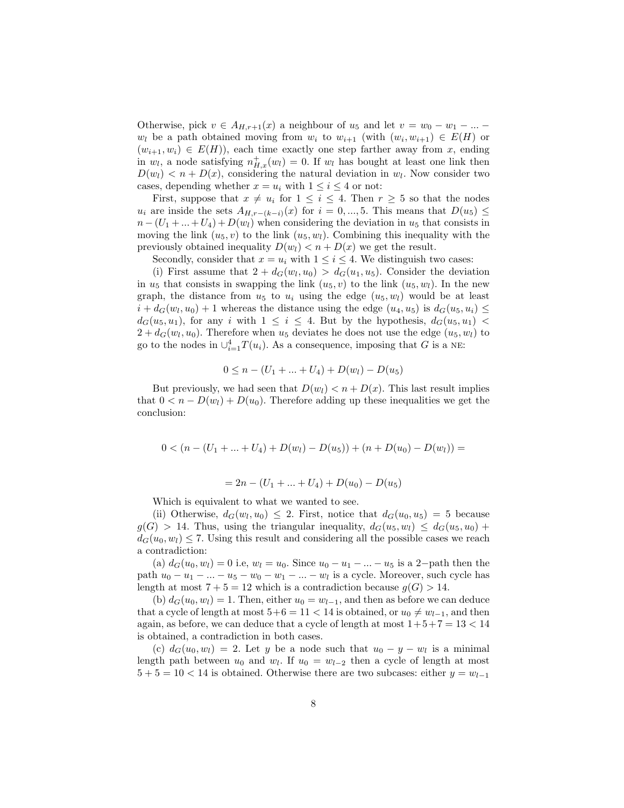Otherwise, pick  $v \in A_{H,r+1}(x)$  a neighbour of  $u_5$  and let  $v = w_0 - w_1 - ...$  $w_i$  be a path obtained moving from  $w_i$  to  $w_{i+1}$  (with  $(w_i, w_{i+1}) \in E(H)$  or  $(w_{i+1}, w_i) \in E(H)$ , each time exactly one step farther away from x, ending in  $w_l$ , a node satisfying  $n_{H,x}^+(w_l) = 0$ . If  $w_l$  has bought at least one link then  $D(w_l) < n + D(x)$ , considering the natural deviation in  $w_l$ . Now consider two cases, depending whether  $x = u_i$  with  $1 \leq i \leq 4$  or not:

First, suppose that  $x \neq u_i$  for  $1 \leq i \leq 4$ . Then  $r \geq 5$  so that the nodes  $u_i$  are inside the sets  $A_{H,r-(k-i)}(x)$  for  $i=0,\dots,5$ . This means that  $D(u_5) \leq$  $n - (U_1 + ... + U_4) + D(w_l)$  when considering the deviation in  $u_5$  that consists in moving the link  $(u_5, v)$  to the link  $(u_5, w_l)$ . Combining this inequality with the previously obtained inequality  $D(w_l) < n + D(x)$  we get the result.

Secondly, consider that  $x = u_i$  with  $1 \leq i \leq 4$ . We distinguish two cases:

(i) First assume that  $2 + d_G(w_l, u_0) > d_G(u_1, u_5)$ . Consider the deviation in  $u_5$  that consists in swapping the link  $(u_5, v)$  to the link  $(u_5, w_l)$ . In the new graph, the distance from  $u_5$  to  $u_i$  using the edge  $(u_5, w_l)$  would be at least  $i + d_G(w_l, u_0) + 1$  whereas the distance using the edge  $(u_4, u_5)$  is  $d_G(u_5, u_i) \leq$  $d_G(u_5, u_1)$ , for any i with  $1 \leq i \leq 4$ . But by the hypothesis,  $d_G(u_5, u_1)$  $2 + d_G(w_l, u_0)$ . Therefore when  $u_5$  deviates he does not use the edge  $(u_5, w_l)$  to go to the nodes in  $\cup_{i=1}^4 T(u_i)$ . As a consequence, imposing that G is a NE:

$$
0 \le n - (U_1 + \dots + U_4) + D(w_l) - D(u_5)
$$

But previously, we had seen that  $D(w_l) < n + D(x)$ . This last result implies that  $0 < n - D(w_l) + D(u_0)$ . Therefore adding up these inequalities we get the conclusion:

$$
0 < (n - (U_1 + \dots + U_4) + D(w_l) - D(u_5)) + (n + D(u_0) - D(w_l)) =
$$

$$
= 2n - (U_1 + \dots + U_4) + D(u_0) - D(u_5)
$$

Which is equivalent to what we wanted to see.

(ii) Otherwise,  $d_G(w_l, u_0) \leq 2$ . First, notice that  $d_G(u_0, u_5) = 5$  because  $g(G) > 14$ . Thus, using the triangular inequality,  $d_G(u_5, w_l) \leq d_G(u_5, u_0) +$  $d_G(u_0, w_l) \leq 7$ . Using this result and considering all the possible cases we reach a contradiction:

(a)  $d_G(u_0, w_l) = 0$  i.e,  $w_l = u_0$ . Since  $u_0 - u_1 - ... - u_5$  is a 2-path then the path  $u_0 - u_1 - \ldots - u_5 - w_0 - w_1 - \ldots - w_l$  is a cycle. Moreover, such cycle has length at most  $7 + 5 = 12$  which is a contradiction because  $g(G) > 14$ .

(b)  $d_G(u_0, w_l) = 1$ . Then, either  $u_0 = w_{l-1}$ , and then as before we can deduce that a cycle of length at most  $5+6 = 11 < 14$  is obtained, or  $u_0 \neq w_{l-1}$ , and then again, as before, we can deduce that a cycle of length at most  $1+5+7=13<14$ is obtained, a contradiction in both cases.

(c)  $d_G(u_0, w_l) = 2$ . Let y be a node such that  $u_0 - y - w_l$  is a minimal length path between  $u_0$  and  $w_l$ . If  $u_0 = w_{l-2}$  then a cycle of length at most  $5 + 5 = 10 < 14$  is obtained. Otherwise there are two subcases: either  $y = w_{l-1}$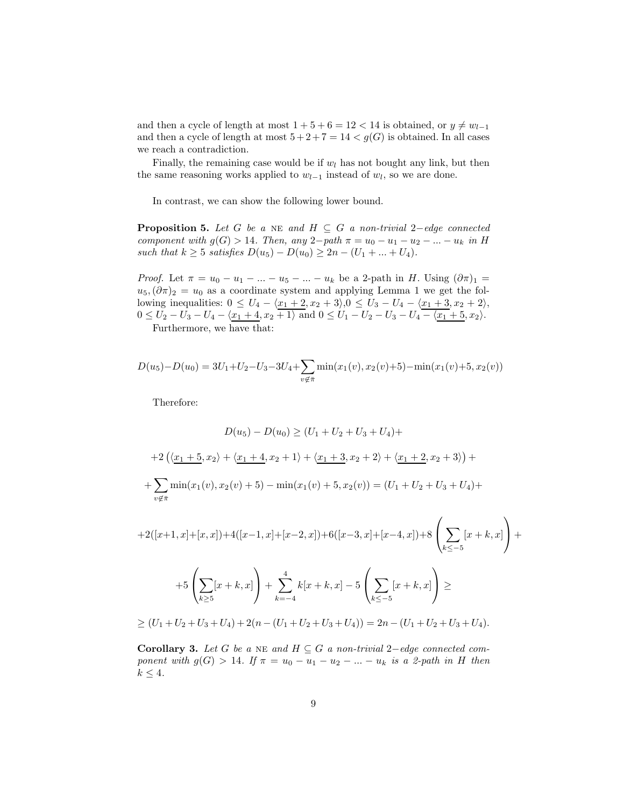and then a cycle of length at most  $1 + 5 + 6 = 12 < 14$  is obtained, or  $y \neq w_{l-1}$ and then a cycle of length at most  $5+2+7=14 < g(G)$  is obtained. In all cases we reach a contradiction.

Finally, the remaining case would be if  $w_l$  has not bought any link, but then the same reasoning works applied to  $w_{l-1}$  instead of  $w_l$ , so we are done.

In contrast, we can show the following lower bound.

**Proposition 5.** Let G be a NE and  $H \subseteq G$  a non-trivial 2-edge connected component with  $g(G) > 14$ . Then, any 2-path  $\pi = u_0 - u_1 - u_2 - ... - u_k$  in H such that  $k \ge 5$  satisfies  $D(u_5) - D(u_0) \ge 2n - (U_1 + ... + U_4)$ .

*Proof.* Let  $\pi = u_0 - u_1 - ... - u_5 - ... - u_k$  be a 2-path in H. Using  $(\partial \pi)_1$  =  $u_5,(\partial \pi)_2 = u_0$  as a coordinate system and applying Lemma 1 we get the following inequalities:  $0 \le U_4 - \langle x_1 + 2, x_2 + 3 \rangle, 0 \le U_3 - U_4 - \langle x_1 + 3, x_2 + 2 \rangle,$  $0 \le U_2 - U_3 - U_4 - \langle \underline{x_1 + 4}, x_2 + 1 \rangle$  and  $0 \le U_1 - U_2 - U_3 - U_4 - \langle \underline{x_1 + 5}, x_2 \rangle$ .

Furthermore, we have that:

$$
D(u_5) - D(u_0) = 3U_1 + U_2 - U_3 - 3U_4 + \sum_{v \notin \bar{\pi}} \min(x_1(v), x_2(v) + 5) - \min(x_1(v) + 5, x_2(v))
$$

Therefore:

$$
D(u_5) - D(u_0) \ge (U_1 + U_2 + U_3 + U_4) +
$$
  
+2  $\left(\langle \underline{x}_1 + \underline{5}, x_2 \rangle + \langle \underline{x}_1 + \underline{4}, x_2 + 1 \rangle + \langle \underline{x}_1 + \underline{3}, x_2 + 2 \rangle + \langle \underline{x}_1 + \underline{2}, x_2 + 3 \rangle \right) +$   
+  $\sum_{v \notin \bar{\pi}} \min(x_1(v), x_2(v) + 5) - \min(x_1(v) + 5, x_2(v)) = (U_1 + U_2 + U_3 + U_4) +$ 

$$
+2([x+1,x]+[x,x])+4([x-1,x]+[x-2,x])+6([x-3,x]+[x-4,x])+8\left(\sum_{k\leq -5} [x+k,x]\right)++5\left(\sum_{k\geq 5} [x+k,x]\right)+\sum_{k=-4}^{4} k[x+k,x]-5\left(\sum_{k\leq -5} [x+k,x]\right)\geq\geq (U_1+U_2+U_3+U_4)+2(n-(U_1+U_2+U_3+U_4))=2n-(U_1+U_2+U_3+U_4).
$$

<span id="page-8-0"></span>Corollary 3. Let G be a NE and  $H ⊆ G$  a non-trivial 2–edge connected component with  $g(G) > 14$ . If  $\pi = u_0 - u_1 - u_2 - ... - u_k$  is a 2-path in H then  $k \leq 4$ .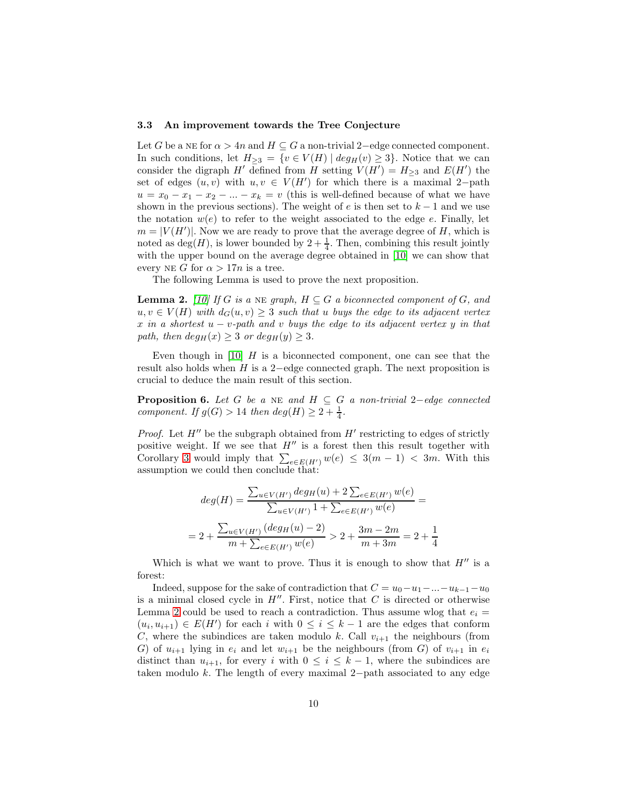#### <span id="page-9-0"></span>3.3 An improvement towards the Tree Conjecture

Let G be a NE for  $\alpha > 4n$  and  $H \subseteq G$  a non-trivial 2–edge connected component. In such conditions, let  $H_{\geq 3} = \{v \in V(H) \mid deg_H(v) \geq 3\}$ . Notice that we can consider the digraph H' defined from H setting  $V(H') = H_{\geq 3}$  and  $E(H')$  the set of edges  $(u, v)$  with  $u, v \in V(H')$  for which there is a maximal 2-path  $u = x_0 - x_1 - x_2 - \ldots - x_k = v$  (this is well-defined because of what we have shown in the previous sections). The weight of e is then set to  $k-1$  and we use the notation  $w(e)$  to refer to the weight associated to the edge e. Finally, let  $m = |V(H')|$ . Now we are ready to prove that the average degree of H, which is noted as  $deg(H)$ , is lower bounded by  $2 + \frac{1}{4}$ . Then, combining this result jointly with the upper bound on the average degree obtained in [\[10\]](#page-21-3) we can show that every NE G for  $\alpha > 17n$  is a tree.

<span id="page-9-1"></span>The following Lemma is used to prove the next proposition.

**Lemma 2.** [\[10\]](#page-21-3) If G is a NE graph,  $H \subseteq G$  a biconnected component of G, and  $u, v \in V(H)$  with  $d_G(u, v) \geq 3$  such that u buys the edge to its adjacent vertex x in a shortest  $u - v$ -path and v buys the edge to its adjacent vertex y in that path, then  $deg_H(x) \geq 3$  or  $deg_H(y) \geq 3$ .

Even though in [\[10\]](#page-21-3)  $H$  is a biconnected component, one can see that the result also holds when  $H$  is a 2-edge connected graph. The next proposition is crucial to deduce the main result of this section.

**Proposition 6.** Let G be a NE and  $H \subseteq G$  a non-trivial 2-edge connected component. If  $g(G) > 14$  then  $deg(H) \geq 2 + \frac{1}{4}$ .

*Proof.* Let  $H''$  be the subgraph obtained from  $H'$  restricting to edges of strictly positive weight. If we see that  $H''$  is a forest then this result together with Corollary [3](#page-8-0) would imply that  $\sum_{e \in E(H')} w(e) \leq 3(m-1) < 3m$ . With this assumption we could then conclude that:

<span id="page-9-2"></span>
$$
deg(H) = \frac{\sum_{u \in V(H')} deg_H(u) + 2 \sum_{e \in E(H')} w(e)}{\sum_{u \in V(H')} 1 + \sum_{e \in E(H')} w(e)} =
$$
  
= 2 +  $\frac{\sum_{u \in V(H')} (deg_H(u) - 2)}{m + \sum_{e \in E(H')} w(e)} > 2 + \frac{3m - 2m}{m + 3m} = 2 + \frac{1}{4}$ 

Which is what we want to prove. Thus it is enough to show that  $H''$  is a forest:

Indeed, suppose for the sake of contradiction that  $C = u_0 - u_1 - ... - u_{k-1} - u_0$ is a minimal closed cycle in  $H''$ . First, notice that  $C$  is directed or otherwise Lemma [2](#page-9-1) could be used to reach a contradiction. Thus assume wlog that  $e_i =$  $(u_i, u_{i+1}) \in E(H')$  for each i with  $0 \leq i \leq k-1$  are the edges that conform C, where the subindices are taken modulo k. Call  $v_{i+1}$  the neighbours (from G) of  $u_{i+1}$  lying in  $e_i$  and let  $w_{i+1}$  be the neighbours (from G) of  $v_{i+1}$  in  $e_i$ distinct than  $u_{i+1}$ , for every i with  $0 \leq i \leq k-1$ , where the subindices are taken modulo k. The length of every maximal 2−path associated to any edge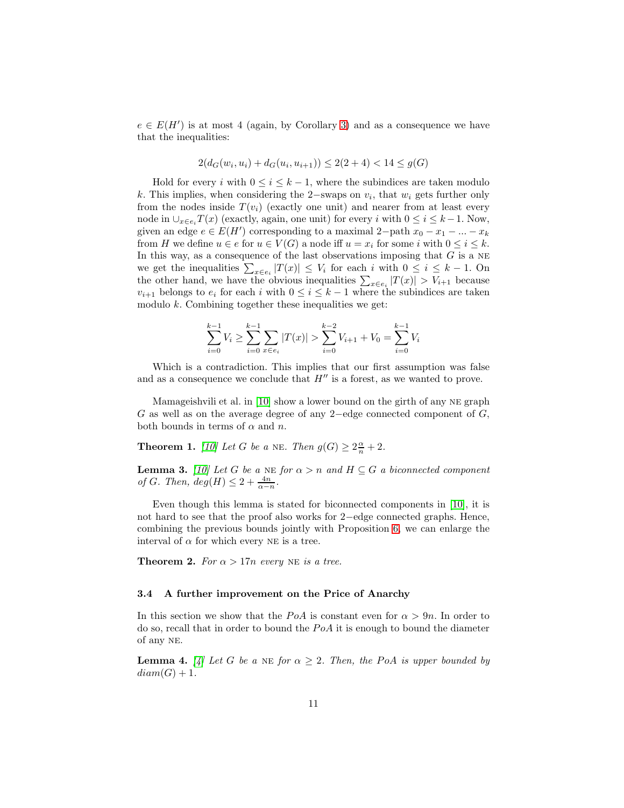$e \in E(H')$  is at most 4 (again, by Corollary [3\)](#page-8-0) and as a consequence we have that the inequalities:

$$
2(d_G(w_i, u_i) + d_G(u_i, u_{i+1})) \le 2(2+4) < 14 \le g(G)
$$

Hold for every i with  $0 \leq i \leq k-1$ , where the subindices are taken modulo k. This implies, when considering the 2−swaps on  $v_i$ , that  $w_i$  gets further only from the nodes inside  $T(v_i)$  (exactly one unit) and nearer from at least every node in  $\cup_{x \in e_i} T(x)$  (exactly, again, one unit) for every i with  $0 \leq i \leq k-1$ . Now, given an edge  $e \in E(H')$  corresponding to a maximal 2-path  $x_0 - x_1 - ... - x_k$ from H we define  $u \in e$  for  $u \in V(G)$  a node iff  $u = x_i$  for some i with  $0 \le i \le k$ . In this way, as a consequence of the last observations imposing that  $G$  is a NE we get the inequalities  $\sum_{x \in e_i} |T(x)| \leq V_i$  for each i with  $0 \leq i \leq k - 1$ . On the other hand, we have the obvious inequalities  $\sum_{x \in e_i} |T(x)| > V_{i+1}$  because  $v_{i+1}$  belongs to  $e_i$  for each i with  $0 \leq i \leq k-1$  where the subindices are taken modulo  $k$ . Combining together these inequalities we get:

<span id="page-10-2"></span>
$$
\sum_{i=0}^{k-1} V_i \ge \sum_{i=0}^{k-1} \sum_{x \in e_i} |T(x)| > \sum_{i=0}^{k-2} V_{i+1} + V_0 = \sum_{i=0}^{k-1} V_i
$$

Which is a contradiction. This implies that our first assumption was false and as a consequence we conclude that  $H''$  is a forest, as we wanted to prove.

Mamageishvili et al. in [\[10\]](#page-21-3) show a lower bound on the girth of any ne graph G as well as on the average degree of any 2−edge connected component of G, both bounds in terms of  $\alpha$  and  $n$ .

**Theorem 1.** [\[10\]](#page-21-3) Let G be a NE. Then  $g(G) \geq 2\frac{\alpha}{n} + 2$ .

<span id="page-10-3"></span>**Lemma 3.** [\[10\]](#page-21-3) Let G be a NE for  $\alpha > n$  and  $H \subseteq G$  a biconnected component of G. Then,  $deg(H) \leq 2 + \frac{4n}{\alpha - n}$ .

Even though this lemma is stated for biconnected components in [\[10\]](#page-21-3), it is not hard to see that the proof also works for 2−edge connected graphs. Hence, combining the previous bounds jointly with Proposition [6,](#page-9-2) we can enlarge the interval of  $\alpha$  for which every NE is a tree.

<span id="page-10-0"></span>**Theorem 2.** For  $\alpha > 17n$  every NE is a tree.

### <span id="page-10-1"></span>3.4 A further improvement on the Price of Anarchy

In this section we show that the PoA is constant even for  $\alpha > 9n$ . In order to do so, recall that in order to bound the  $PoA$  it is enough to bound the diameter of any ne.

**Lemma 4.** [\[4\]](#page-20-1) Let G be a NE for  $\alpha \geq 2$ . Then, the PoA is upper bounded by  $diam(G) + 1.$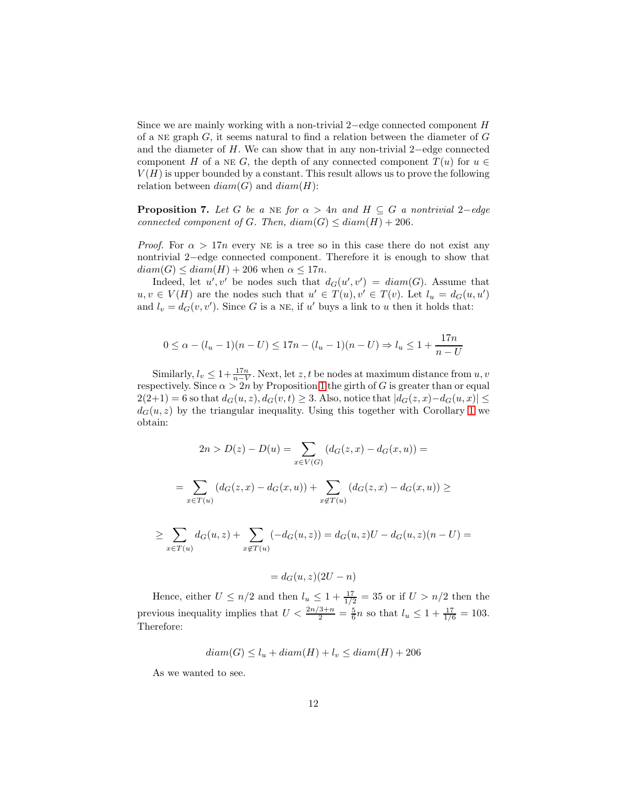Since we are mainly working with a non-trivial 2−edge connected component H of a NE graph  $G$ , it seems natural to find a relation between the diameter of  $G$ and the diameter of H. We can show that in any non-trivial 2−edge connected component H of a NE G, the depth of any connected component  $T(u)$  for  $u \in$  $V(H)$  is upper bounded by a constant. This result allows us to prove the following relation between  $diam(G)$  and  $diam(H)$ :

<span id="page-11-0"></span>**Proposition 7.** Let G be a NE for  $\alpha > 4n$  and  $H \subseteq G$  a nontrivial 2–edge connected component of G. Then,  $diam(G) \leq diam(H) + 206$ .

*Proof.* For  $\alpha > 17n$  every NE is a tree so in this case there do not exist any nontrivial 2−edge connected component. Therefore it is enough to show that  $diam(G) \leq diam(H) + 206$  when  $\alpha \leq 17n$ .

Indeed, let  $u', v'$  be nodes such that  $d_G(u', v') = diam(G)$ . Assume that  $u, v \in V(H)$  are the nodes such that  $u' \in T(u), v' \in T(v)$ . Let  $l_u = d_G(u, u')$ and  $l_v = d_G(v, v')$ . Since G is a NE, if u' buys a link to u then it holds that:

$$
0 \le \alpha - (l_u - 1)(n - U) \le 17n - (l_u - 1)(n - U) \Rightarrow l_u \le 1 + \frac{17n}{n - U}
$$

Similarly,  $l_v \leq 1 + \frac{17n}{n-V}$ . Next, let z, t be nodes at maximum distance from  $u, v$ respectively. Since  $\alpha > 2n$  by Proposition [1](#page-10-2) the girth of G is greater than or equal  $2(2+1) = 6$  so that  $d_G(u, z)$ ,  $d_G(v, t) \geq 3$ . Also, notice that  $|d_G(z, x) - d_G(u, x)| \leq$  $d_G(u, z)$  by the triangular inequality. Using this together with Corollary [1](#page-5-1) we obtain:

$$
2n > D(z) - D(u) = \sum_{x \in V(G)} (d_G(z, x) - d_G(x, u)) =
$$
  
= 
$$
\sum_{x \in T(u)} (d_G(z, x) - d_G(x, u)) + \sum_{x \notin T(u)} (d_G(z, x) - d_G(x, u)) \ge
$$
  

$$
\ge \sum_{x \in T(u)} d_G(u, z) + \sum_{x \notin T(u)} (-d_G(u, z)) = d_G(u, z)U - d_G(u, z)(n - U) =
$$

$$
= d_G(u, z)(2U - n)
$$

Hence, either  $U \le n/2$  and then  $l_u \le 1 + \frac{17}{1/2} = 35$  or if  $U > n/2$  then the previous inequality implies that  $U < \frac{2n/3+n}{2} = \frac{5}{6}n$  so that  $l_u \leq 1 + \frac{17}{1/6} = 103$ . Therefore:

$$
diam(G) \le l_u + diam(H) + l_v \le diam(H) + 206
$$

As we wanted to see.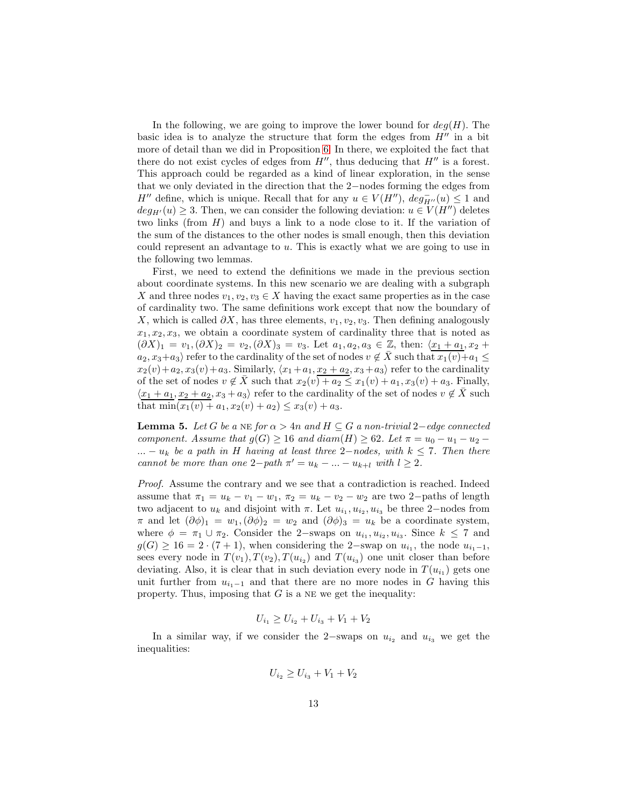In the following, we are going to improve the lower bound for  $deg(H)$ . The basic idea is to analyze the structure that form the edges from  $H''$  in a bit more of detail than we did in Proposition [6.](#page-9-2) In there, we exploited the fact that there do not exist cycles of edges from  $H''$ , thus deducing that  $H''$  is a forest. This approach could be regarded as a kind of linear exploration, in the sense that we only deviated in the direction that the 2−nodes forming the edges from  $H''$  define, which is unique. Recall that for any  $u \in V(H'')$ ,  $deg_{H''}(u) \leq 1$  and  $deg_{H'}(u) \geq 3$ . Then, we can consider the following deviation:  $u \in V(H'')$  deletes two links (from  $H$ ) and buys a link to a node close to it. If the variation of the sum of the distances to the other nodes is small enough, then this deviation could represent an advantage to u. This is exactly what we are going to use in the following two lemmas.

First, we need to extend the definitions we made in the previous section about coordinate systems. In this new scenario we are dealing with a subgraph X and three nodes  $v_1, v_2, v_3 \in X$  having the exact same properties as in the case of cardinality two. The same definitions work except that now the boundary of X, which is called  $\partial X$ , has three elements,  $v_1, v_2, v_3$ . Then defining analogously  $x_1, x_2, x_3$ , we obtain a coordinate system of cardinality three that is noted as  $(\partial X)_1 = v_1, (\partial X)_2 = v_2, (\partial X)_3 = v_3$ . Let  $a_1, a_2, a_3 \in \mathbb{Z}$ , then:  $\langle x_1 + a_1, x_2 + a_2, a_3 + b_4 \rangle$  $a_2, x_3+a_3$  refer to the cardinality of the set of nodes  $v \notin X$  such that  $x_1(v)+a_1 \leq$  $x_2(v)+a_2, x_3(v)+a_3$ . Similarly,  $\langle x_1 + a_1, x_2 + a_2, x_3 + a_3 \rangle$  refer to the cardinality of the set of nodes  $v \notin \overline{X}$  such that  $x_2(v) + a_2 \leq x_1(v) + a_1, x_3(v) + a_3$ . Finally,  $\langle x_1 + a_1, x_2 + a_2, x_3 + a_3 \rangle$  refer to the cardinality of the set of nodes  $v \notin \overline{X}$  such that  $min(x_1(v) + a_1, x_2(v) + a_2) \le x_3(v) + a_3$ .

<span id="page-12-0"></span>**Lemma 5.** Let G be a NE for  $\alpha > 4n$  and  $H \subseteq G$  a non-trivial 2-edge connected component. Assume that  $g(G) \ge 16$  and  $diam(H) \ge 62$ . Let  $\pi = u_0 - u_1 - u_2$ ...  $- u_k$  be a path in H having at least three 2-nodes, with  $k \leq 7$ . Then there cannot be more than one  $2-path \pi' = u_k - ... - u_{k+l}$  with  $l \geq 2$ .

Proof. Assume the contrary and we see that a contradiction is reached. Indeed assume that  $\pi_1 = u_k - v_1 - w_1$ ,  $\pi_2 = u_k - v_2 - w_2$  are two 2-paths of length two adjacent to  $u_k$  and disjoint with  $\pi$ . Let  $u_{i_1}, u_{i_2}, u_{i_3}$  be three 2-nodes from  $\pi$  and let  $(\partial \phi)_1 = w_1, (\partial \phi)_2 = w_2$  and  $(\partial \phi)_3 = u_k$  be a coordinate system, where  $\phi = \pi_1 \cup \pi_2$ . Consider the 2-swaps on  $u_{i_1}, u_{i_2}, u_{i_3}$ . Since  $k \leq 7$  and  $g(G) \ge 16 = 2 \cdot (7 + 1)$ , when considering the 2-swap on  $u_{i_1}$ , the node  $u_{i_1-1}$ , sees every node in  $T(v_1)$ ,  $T(v_2)$ ,  $T(u_{i_2})$  and  $T(u_{i_3})$  one unit closer than before deviating. Also, it is clear that in such deviation every node in  $T(u_{i_1})$  gets one unit further from  $u_{i_1-1}$  and that there are no more nodes in G having this property. Thus, imposing that  $G$  is a NE we get the inequality:

$$
U_{i_1} \ge U_{i_2} + U_{i_3} + V_1 + V_2
$$

In a similar way, if we consider the 2−swaps on  $u_{i_2}$  and  $u_{i_3}$  we get the inequalities:

$$
U_{i_2} \ge U_{i_3} + V_1 + V_2
$$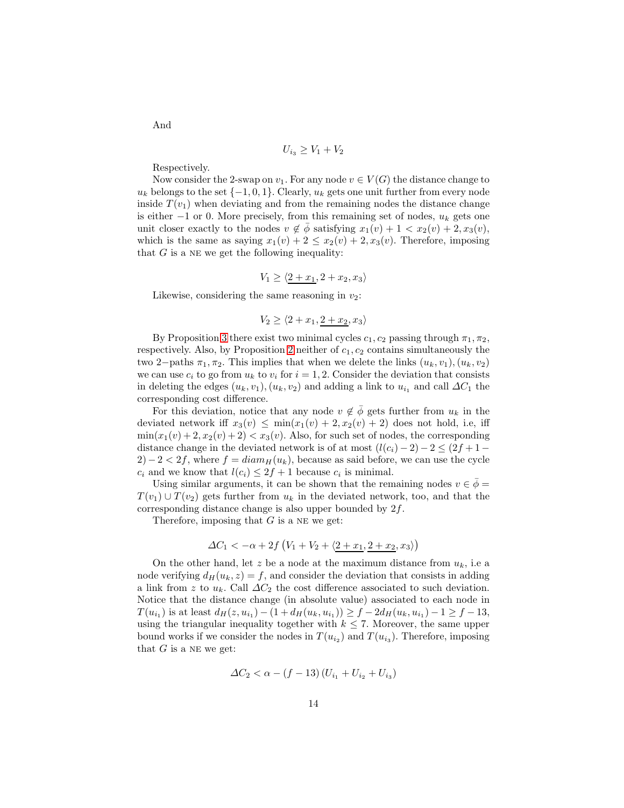$$
U_{i_3} \geq V_1 + V_2
$$

Respectively.

Now consider the 2-swap on  $v_1$ . For any node  $v \in V(G)$  the distance change to  $u_k$  belongs to the set  $\{-1,0,1\}$ . Clearly,  $u_k$  gets one unit further from every node inside  $T(v_1)$  when deviating and from the remaining nodes the distance change is either  $-1$  or 0. More precisely, from this remaining set of nodes,  $u_k$  gets one unit closer exactly to the nodes  $v \notin \overline{\phi}$  satisfying  $x_1(v) + 1 < x_2(v) + 2, x_3(v)$ , which is the same as saying  $x_1(v) + 2 \le x_2(v) + 2$ ,  $x_3(v)$ . Therefore, imposing that  $G$  is a NE we get the following inequality:

$$
V_1 \ge \langle \underline{2+x_1}, 2+x_2, x_3 \rangle
$$

Likewise, considering the same reasoning in  $v_2$ :

$$
V_2 \ge \langle 2 + x_1, \underline{2 + x_2}, x_3 \rangle
$$

By Proposition [3](#page-4-1) there exist two minimal cycles  $c_1, c_2$  passing through  $\pi_1, \pi_2$ , respectively. Also, by Proposition [2](#page-4-0) neither of  $c_1, c_2$  contains simultaneously the two 2−paths  $\pi_1, \pi_2$ . This implies that when we delete the links  $(u_k, v_1), (u_k, v_2)$ we can use  $c_i$  to go from  $u_k$  to  $v_i$  for  $i = 1, 2$ . Consider the deviation that consists in deleting the edges  $(u_k, v_1), (u_k, v_2)$  and adding a link to  $u_{i_1}$  and call  $\Delta C_1$  the corresponding cost difference.

For this deviation, notice that any node  $v \notin \overline{\phi}$  gets further from  $u_k$  in the deviated network iff  $x_3(v) \leq \min(x_1(v) + 2, x_2(v) + 2)$  does not hold, i.e, iff  $\min(x_1(v) + 2, x_2(v) + 2) < x_3(v)$ . Also, for such set of nodes, the corresponding distance change in the deviated network is of at most  $(l(c_i) - 2) - 2 \leq (2f + 1 2) - 2 < 2f$ , where  $f = diam_H(u_k)$ , because as said before, we can use the cycle  $c_i$  and we know that  $l(c_i) \leq 2f + 1$  because  $c_i$  is minimal.

Using similar arguments, it can be shown that the remaining nodes  $v \in \overline{\phi} =$  $T(v_1) \cup T(v_2)$  gets further from  $u_k$  in the deviated network, too, and that the corresponding distance change is also upper bounded by 2f.

Therefore, imposing that  $G$  is a NE we get:

$$
\Delta C_1 < -\alpha + 2f\left(V_1 + V_2 + \langle \underline{2 + x_1}, \underline{2 + x_2}, x_3 \rangle\right)
$$

On the other hand, let z be a node at the maximum distance from  $u_k$ , i.e a node verifying  $d_H(u_k, z) = f$ , and consider the deviation that consists in adding a link from z to  $u_k$ . Call  $\Delta C_2$  the cost difference associated to such deviation. Notice that the distance change (in absolute value) associated to each node in  $T(u_{i_1})$  is at least  $d_H(z, u_{i_1}) - (1 + d_H(u_k, u_{i_1})) \ge f - 2d_H(u_k, u_{i_1}) - 1 \ge f - 13$ , using the triangular inequality together with  $k \leq 7$ . Moreover, the same upper bound works if we consider the nodes in  $T(u_{i_2})$  and  $T(u_{i_3})$ . Therefore, imposing that  $G$  is a NE we get:

$$
\Delta C_2 < \alpha - (f - 13)(U_{i_1} + U_{i_2} + U_{i_3})
$$

And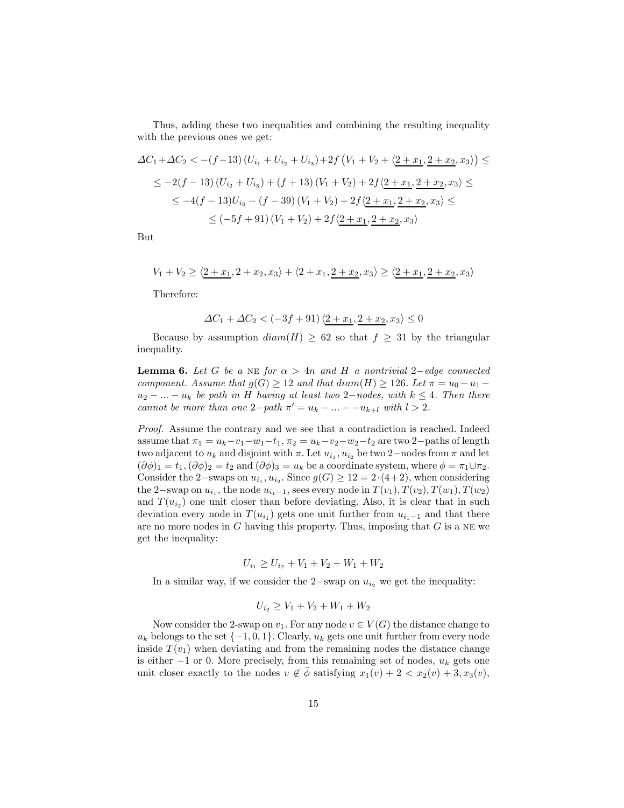Thus, adding these two inequalities and combining the resulting inequality with the previous ones we get:

$$
\Delta C_1 + \Delta C_2 < -(f-13)(U_{i_1} + U_{i_2} + U_{i_3}) + 2f(V_1 + V_2 + \langle 2 + x_1, 2 + x_2, x_3 \rangle) \le
$$
\n
$$
\leq -2(f-13)(U_{i_2} + U_{i_3}) + (f+13)(V_1 + V_2) + 2f\langle 2 + x_1, 2 + x_2, x_3 \rangle \le
$$
\n
$$
\leq -4(f-13)U_{i_3} - (f-39)(V_1 + V_2) + 2f\langle 2 + x_1, 2 + x_2, x_3 \rangle \le
$$
\n
$$
\leq (-5f+91)(V_1 + V_2) + 2f\langle 2 + x_1, 2 + x_2, x_3 \rangle
$$

But

 $V_1 + V_2 \geq \langle 2 + x_1, 2 + x_2, x_3 \rangle + \langle 2 + x_1, 2 + x_2, x_3 \rangle \geq \langle 2 + x_1, 2 + x_2, x_3 \rangle$ 

Therefore:

$$
\Delta C_1 + \Delta C_2 < (-3f + 91)\langle \underline{2 + x_1}, \underline{2 + x_2}, x_3 \rangle \le 0
$$

Because by assumption  $diam(H) \geq 62$  so that  $f \geq 31$  by the triangular inequality.

<span id="page-14-0"></span>**Lemma 6.** Let G be a NE for  $\alpha > 4n$  and H a nontrivial 2-edge connected component. Assume that  $g(G) \geq 12$  and that  $diam(H) \geq 126$ . Let  $\pi = u_0 - u_1$  $u_2 - ... - u_k$  be path in H having at least two 2-nodes, with  $k \leq 4$ . Then there cannot be more than one  $2-path \pi' = u_k - ... - -u_{k+l}$  with  $l > 2$ .

Proof. Assume the contrary and we see that a contradiction is reached. Indeed assume that  $\pi_1 = u_k - v_1 - w_1 - t_1$ ,  $\pi_2 = u_k - v_2 - w_2 - t_2$  are two 2-paths of length two adjacent to  $u_k$  and disjoint with  $\pi$ . Let  $u_{i_1}, u_{i_2}$  be two 2-nodes from  $\pi$  and let  $(\partial \phi)_1 = t_1, (\partial \phi)_2 = t_2$  and  $(\partial \phi)_3 = u_k$  be a coordinate system, where  $\phi = \pi_1 \cup \pi_2$ . Consider the 2–swaps on  $u_{i_1}, u_{i_2}$ . Since  $g(G) \ge 12 = 2 \cdot (4+2)$ , when considering the 2–swap on  $u_{i_1}$ , the node  $u_{i_1-1}$ , sees every node in  $T(v_1)$ ,  $T(v_2)$ ,  $T(w_1)$ ,  $T(w_2)$ and  $T(u_{i_2})$  one unit closer than before deviating. Also, it is clear that in such deviation every node in  $T(u_{i_1})$  gets one unit further from  $u_{i_1-1}$  and that there are no more nodes in  $G$  having this property. Thus, imposing that  $G$  is a NE we get the inequality:

$$
U_{i_1} \ge U_{i_2} + V_1 + V_2 + W_1 + W_2
$$

In a similar way, if we consider the 2−swap on  $u_{i_2}$  we get the inequality:

$$
U_{i_2} \ge V_1 + V_2 + W_1 + W_2
$$

Now consider the 2-swap on  $v_1$ . For any node  $v \in V(G)$  the distance change to  $u_k$  belongs to the set  $\{-1, 0, 1\}$ . Clearly,  $u_k$  gets one unit further from every node inside  $T(v_1)$  when deviating and from the remaining nodes the distance change is either  $-1$  or 0. More precisely, from this remaining set of nodes,  $u_k$  gets one unit closer exactly to the nodes  $v \notin \overline{\phi}$  satisfying  $x_1(v) + 2 < x_2(v) + 3, x_3(v)$ ,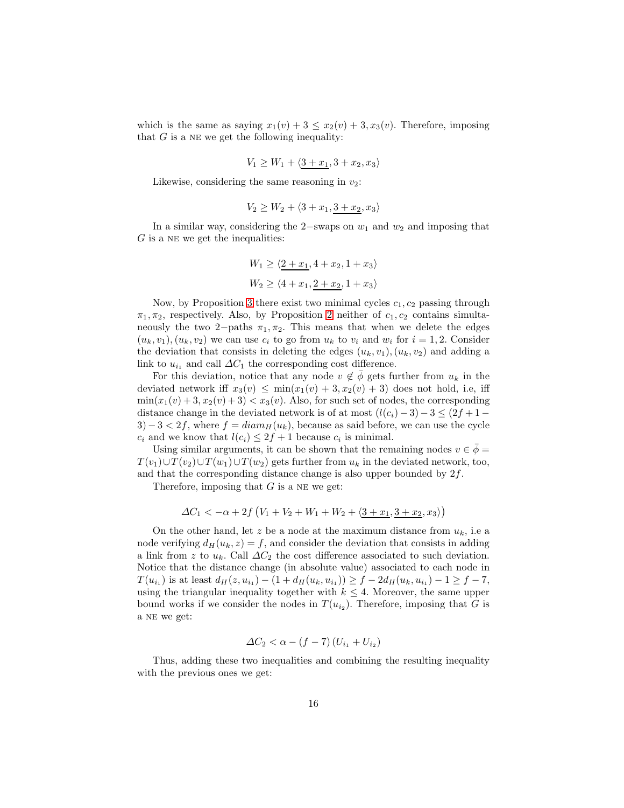which is the same as saying  $x_1(v) + 3 \le x_2(v) + 3$ ,  $x_3(v)$ . Therefore, imposing that  $G$  is a NE we get the following inequality:

$$
V_1 \ge W_1 + \langle \underline{3+x_1}, 3+x_2, x_3 \rangle
$$

Likewise, considering the same reasoning in  $v_2$ :

$$
V_2 \ge W_2 + \langle 3 + x_1, \underline{3 + x_2}, x_3 \rangle
$$

In a similar way, considering the 2−swaps on  $w_1$  and  $w_2$  and imposing that  $G$  is a NE we get the inequalities:

$$
W_1 \ge \langle \underline{2+x_1}, 4+x_2, 1+x_3 \rangle
$$
  

$$
W_2 \ge \langle 4+x_1, \underline{2+x_2}, 1+x_3 \rangle
$$

Now, by Proposition [3](#page-4-1) there exist two minimal cycles  $c_1, c_2$  passing through  $\pi_1, \pi_2$ , respectively. Also, by Proposition [2](#page-4-0) neither of  $c_1, c_2$  contains simultaneously the two 2−paths  $\pi_1, \pi_2$ . This means that when we delete the edges  $(u_k, v_1), (u_k, v_2)$  we can use  $c_i$  to go from  $u_k$  to  $v_i$  and  $w_i$  for  $i = 1, 2$ . Consider the deviation that consists in deleting the edges  $(u_k, v_1), (u_k, v_2)$  and adding a link to  $u_{i_1}$  and call  $\Delta C_1$  the corresponding cost difference.

For this deviation, notice that any node  $v \notin \phi$  gets further from  $u_k$  in the deviated network iff  $x_3(v) \leq \min(x_1(v) + 3, x_2(v) + 3)$  does not hold, i.e, iff  $\min(x_1(v) + 3, x_2(v) + 3) < x_3(v)$ . Also, for such set of nodes, the corresponding distance change in the deviated network is of at most  $(l(c_i) - 3) - 3 \leq (2f + 1 3) - 3 < 2f$ , where  $f = diam_H(u_k)$ , because as said before, we can use the cycle  $c_i$  and we know that  $l(c_i) \leq 2f + 1$  because  $c_i$  is minimal.

Using similar arguments, it can be shown that the remaining nodes  $v \in \overline{\phi} =$  $T(v_1) \cup T(v_2) \cup T(w_1) \cup T(w_2)$  gets further from  $u_k$  in the deviated network, too, and that the corresponding distance change is also upper bounded by  $2f$ .

Therefore, imposing that  $G$  is a NE we get:

$$
\Delta C_1 < -\alpha + 2f\left(V_1 + V_2 + W_1 + W_2 + \langle \underline{3 + x_1}, \underline{3 + x_2}, x_3 \rangle\right)
$$

On the other hand, let z be a node at the maximum distance from  $u_k$ , i.e a node verifying  $d_H(u_k, z) = f$ , and consider the deviation that consists in adding a link from z to  $u_k$ . Call  $\Delta C_2$  the cost difference associated to such deviation. Notice that the distance change (in absolute value) associated to each node in  $T(u_{i_1})$  is at least  $d_H(z, u_{i_1}) - (1 + d_H(u_k, u_{i_1})) \ge f - 2d_H(u_k, u_{i_1}) - 1 \ge f - 7$ , using the triangular inequality together with  $k \leq 4$ . Moreover, the same upper bound works if we consider the nodes in  $T(u_{i_2})$ . Therefore, imposing that G is a NE we get:

$$
\Delta C_2 < \alpha - (f - 7)(U_{i_1} + U_{i_2})
$$

Thus, adding these two inequalities and combining the resulting inequality with the previous ones we get: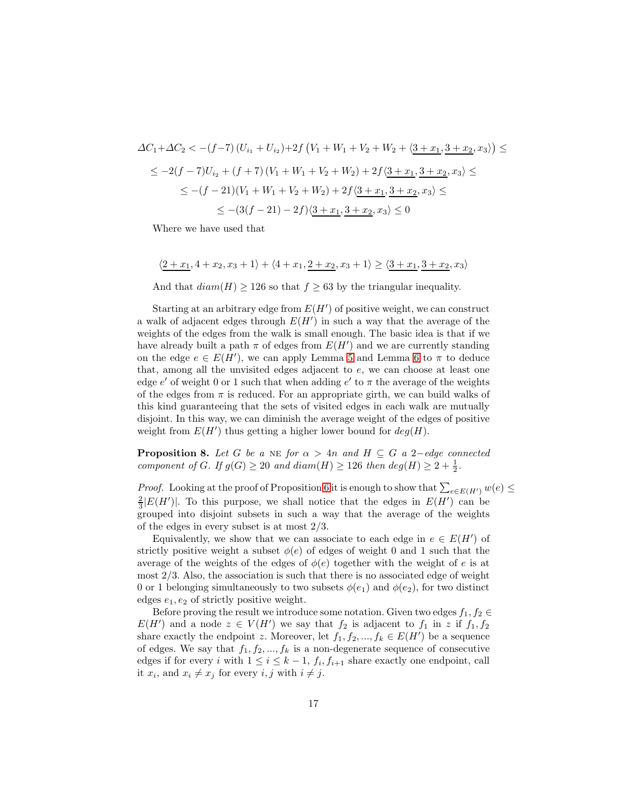$$
\Delta C_1 + \Delta C_2 < -(f-7)(U_{i_1} + U_{i_2}) + 2f(V_1 + W_1 + V_2 + W_2 + \langle \underline{3 + x_1}, \underline{3 + x_2}, x_3 \rangle) \le
$$
\n
$$
\leq -2(f-7)U_{i_2} + (f+7)(V_1 + W_1 + V_2 + W_2) + 2f\langle \underline{3 + x_1}, \underline{3 + x_2}, x_3 \rangle \le
$$
\n
$$
\leq -(f-21)(V_1 + W_1 + V_2 + W_2) + 2f\langle \underline{3 + x_1}, \underline{3 + x_2}, x_3 \rangle \le
$$
\n
$$
\leq -(3(f-21) - 2f)\langle \underline{3 + x_1}, \underline{3 + x_2}, x_3 \rangle \leq 0
$$

Where we have used that

 $\langle 2 + x_1, 4 + x_2, x_3 + 1 \rangle + \langle 4 + x_1, 2 + x_2, x_3 + 1 \rangle \geq \langle 3 + x_1, 3 + x_2, x_3 \rangle$ 

And that  $diam(H) \ge 126$  so that  $f \ge 63$  by the triangular inequality.

Starting at an arbitrary edge from  $E(H')$  of positive weight, we can construct a walk of adjacent edges through  $E(H')$  in such a way that the average of the weights of the edges from the walk is small enough. The basic idea is that if we have already built a path  $\pi$  of edges from  $E(H')$  and we are currently standing on the edge  $e \in E(H')$ , we can apply Lemma [5](#page-12-0) and Lemma [6](#page-14-0) to  $\pi$  to deduce that, among all the unvisited edges adjacent to e, we can choose at least one edge  $e'$  of weight 0 or 1 such that when adding  $e'$  to  $\pi$  the average of the weights of the edges from  $\pi$  is reduced. For an appropriate girth, we can build walks of this kind guaranteeing that the sets of visited edges in each walk are mutually disjoint. In this way, we can diminish the average weight of the edges of positive weight from  $E(H')$  thus getting a higher lower bound for  $deg(H)$ .

<span id="page-16-0"></span>**Proposition 8.** Let G be a NE for  $\alpha > 4n$  and  $H \subseteq G$  a 2-edge connected component of G. If  $g(G) \ge 20$  and  $diam(H) \ge 126$  then  $deg(H) \ge 2 + \frac{1}{2}$ .

*Proof.* Looking at the proof of Proposition [6](#page-9-2) it is enough to show that  $\sum_{e \in E(H')} w(e) \le$  $\frac{2}{3}|E(H')|$ . To this purpose, we shall notice that the edges in  $E(H')$  can be grouped into disjoint subsets in such a way that the average of the weights of the edges in every subset is at most 2/3.

Equivalently, we show that we can associate to each edge in  $e \in E(H')$  of strictly positive weight a subset  $\phi(e)$  of edges of weight 0 and 1 such that the average of the weights of the edges of  $\phi(e)$  together with the weight of e is at most  $2/3$ . Also, the association is such that there is no associated edge of weight 0 or 1 belonging simultaneously to two subsets  $\phi(e_1)$  and  $\phi(e_2)$ , for two distinct edges  $e_1, e_2$  of strictly positive weight.

Before proving the result we introduce some notation. Given two edges  $f_1, f_2 \in$  $E(H')$  and a node  $z \in V(H')$  we say that  $f_2$  is adjacent to  $f_1$  in z if  $f_1, f_2$ share exactly the endpoint z. Moreover, let  $f_1, f_2, ..., f_k \in E(H')$  be a sequence of edges. We say that  $f_1, f_2, ..., f_k$  is a non-degenerate sequence of consecutive edges if for every *i* with  $1 \leq i \leq k-1$ ,  $f_i, f_{i+1}$  share exactly one endpoint, call it  $x_i$ , and  $x_i \neq x_j$  for every  $i, j$  with  $i \neq j$ .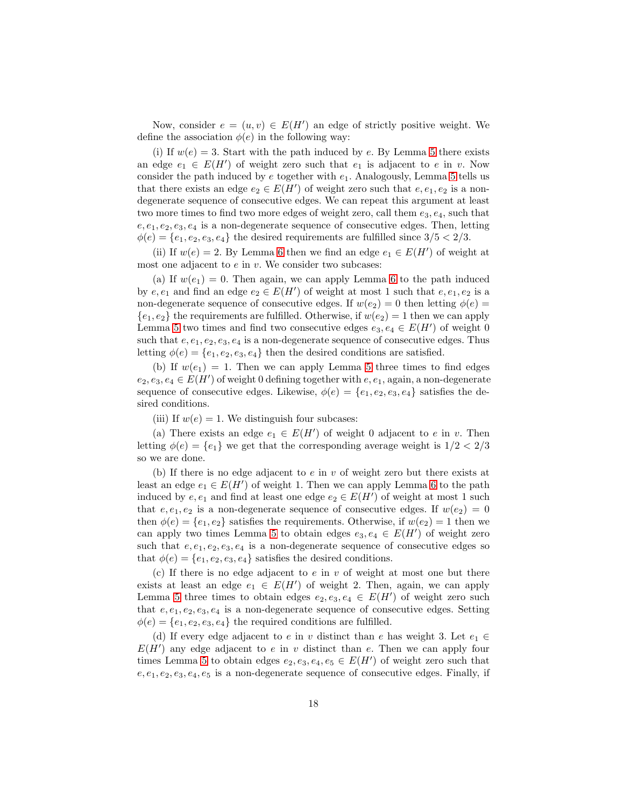Now, consider  $e = (u, v) \in E(H')$  an edge of strictly positive weight. We define the association  $\phi(e)$  in the following way:

(i) If  $w(e) = 3$ . Start with the path induced by e. By Lemma [5](#page-12-0) there exists an edge  $e_1 \in E(H')$  of weight zero such that  $e_1$  is adjacent to e in v. Now consider the path induced by e together with  $e_1$ . Analogously, Lemma [5](#page-12-0) tells us that there exists an edge  $e_2 \in E(H')$  of weight zero such that  $e, e_1, e_2$  is a nondegenerate sequence of consecutive edges. We can repeat this argument at least two more times to find two more edges of weight zero, call them  $e_3, e_4$ , such that  $e, e_1, e_2, e_3, e_4$  is a non-degenerate sequence of consecutive edges. Then, letting  $\phi(e) = \{e_1, e_2, e_3, e_4\}$  the desired requirements are fulfilled since  $3/5 < 2/3$ .

(ii) If  $w(e) = 2$ . By Lemma [6](#page-14-0) then we find an edge  $e_1 \in E(H')$  of weight at most one adjacent to  $e$  in  $v$ . We consider two subcases:

(a) If  $w(e_1) = 0$ . Then again, we can apply Lemma [6](#page-14-0) to the path induced by  $e, e_1$  and find an edge  $e_2 \in E(H')$  of weight at most 1 such that  $e, e_1, e_2$  is a non-degenerate sequence of consecutive edges. If  $w(e_2) = 0$  then letting  $\phi(e) =$  ${e_1, e_2}$  the requirements are fulfilled. Otherwise, if  $w(e_2) = 1$  then we can apply Lemma [5](#page-12-0) two times and find two consecutive edges  $e_3, e_4 \in E(H')$  of weight 0 such that  $e, e_1, e_2, e_3, e_4$  is a non-degenerate sequence of consecutive edges. Thus letting  $\phi(e) = \{e_1, e_2, e_3, e_4\}$  then the desired conditions are satisfied.

(b) If  $w(e_1) = 1$ . Then we can apply Lemma [5](#page-12-0) three times to find edges  $e_2, e_3, e_4 \in E(H')$  of weight 0 defining together with  $e, e_1$ , again, a non-degenerate sequence of consecutive edges. Likewise,  $\phi(e) = \{e_1, e_2, e_3, e_4\}$  satisfies the desired conditions.

(iii) If  $w(e) = 1$ . We distinguish four subcases:

(a) There exists an edge  $e_1 \in E(H')$  of weight 0 adjacent to e in v. Then letting  $\phi(e) = \{e_1\}$  we get that the corresponding average weight is  $1/2 < 2/3$ so we are done.

(b) If there is no edge adjacent to  $e$  in  $v$  of weight zero but there exists at least an edge  $e_1 \in E(H')$  of weight 1. Then we can apply Lemma [6](#page-14-0) to the path induced by  $e, e_1$  and find at least one edge  $e_2 \in E(H')$  of weight at most 1 such that  $e, e_1, e_2$  is a non-degenerate sequence of consecutive edges. If  $w(e_2) = 0$ then  $\phi(e) = \{e_1, e_2\}$  satisfies the requirements. Otherwise, if  $w(e_2) = 1$  then we can apply two times Lemma [5](#page-12-0) to obtain edges  $e_3, e_4 \in E(H')$  of weight zero such that  $e, e_1, e_2, e_3, e_4$  is a non-degenerate sequence of consecutive edges so that  $\phi(e) = \{e_1, e_2, e_3, e_4\}$  satisfies the desired conditions.

(c) If there is no edge adjacent to  $e$  in  $v$  of weight at most one but there exists at least an edge  $e_1 \in E(H')$  of weight 2. Then, again, we can apply Lemma [5](#page-12-0) three times to obtain edges  $e_2, e_3, e_4 \in E(H')$  of weight zero such that  $e, e_1, e_2, e_3, e_4$  is a non-degenerate sequence of consecutive edges. Setting  $\phi(e) = \{e_1, e_2, e_3, e_4\}$  the required conditions are fulfilled.

(d) If every edge adjacent to e in v distinct than e has weight 3. Let  $e_1 \in$  $E(H')$  any edge adjacent to e in v distinct than e. Then we can apply four times Lemma [5](#page-12-0) to obtain edges  $e_2, e_3, e_4, e_5 \in E(H')$  of weight zero such that  $e, e_1, e_2, e_3, e_4, e_5$  is a non-degenerate sequence of consecutive edges. Finally, if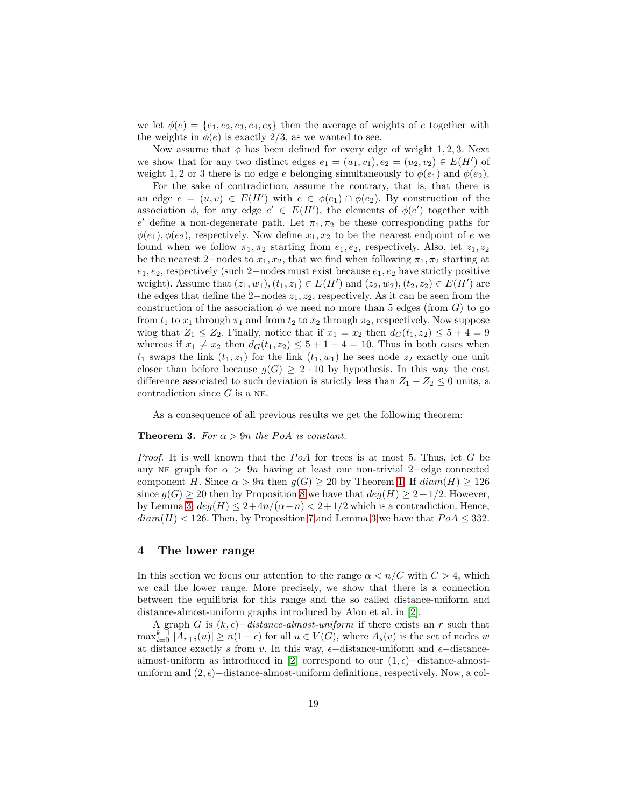we let  $\phi(e) = \{e_1, e_2, e_3, e_4, e_5\}$  then the average of weights of e together with the weights in  $\phi(e)$  is exactly 2/3, as we wanted to see.

Now assume that  $\phi$  has been defined for every edge of weight 1, 2, 3. Next we show that for any two distinct edges  $e_1 = (u_1, v_1), e_2 = (u_2, v_2) \in E(H')$  of weight 1, 2 or 3 there is no edge e belonging simultaneously to  $\phi(e_1)$  and  $\phi(e_2)$ .

For the sake of contradiction, assume the contrary, that is, that there is an edge  $e = (u, v) \in E(H')$  with  $e \in \phi(e_1) \cap \phi(e_2)$ . By construction of the association  $\phi$ , for any edge  $e' \in E(H')$ , the elements of  $\phi(e')$  together with  $e'$  define a non-degenerate path. Let  $\pi_1, \pi_2$  be these corresponding paths for  $\phi(e_1), \phi(e_2)$ , respectively. Now define  $x_1, x_2$  to be the nearest endpoint of e we found when we follow  $\pi_1, \pi_2$  starting from  $e_1, e_2$ , respectively. Also, let  $z_1, z_2$ be the nearest 2–nodes to  $x_1, x_2$ , that we find when following  $\pi_1, \pi_2$  starting at  $e_1, e_2$ , respectively (such 2–nodes must exist because  $e_1, e_2$  have strictly positive weight). Assume that  $(z_1, w_1), (t_1, z_1) \in E(H')$  and  $(z_2, w_2), (t_2, z_2) \in E(H')$  are the edges that define the 2−nodes  $z_1, z_2$ , respectively. As it can be seen from the construction of the association  $\phi$  we need no more than 5 edges (from G) to go from  $t_1$  to  $x_1$  through  $\pi_1$  and from  $t_2$  to  $x_2$  through  $\pi_2$ , respectively. Now suppose wlog that  $Z_1 \leq Z_2$ . Finally, notice that if  $x_1 = x_2$  then  $d_G(t_1, z_2) \leq 5 + 4 = 9$ whereas if  $x_1 \neq x_2$  then  $d_G(t_1, z_2) \leq 5 + 1 + 4 = 10$ . Thus in both cases when  $t_1$  swaps the link  $(t_1, z_1)$  for the link  $(t_1, w_1)$  he sees node  $z_2$  exactly one unit closer than before because  $g(G) \geq 2 \cdot 10$  by hypothesis. In this way the cost difference associated to such deviation is strictly less than  $Z_1 - Z_2 \leq 0$  units, a contradiction since  $G$  is a NE.

<span id="page-18-0"></span>As a consequence of all previous results we get the following theorem:

### **Theorem 3.** For  $\alpha > 9n$  the PoA is constant.

*Proof.* It is well known that the PoA for trees is at most 5. Thus, let G be any NE graph for  $\alpha > 9n$  having at least one non-trivial 2–edge connected component H. Since  $\alpha > 9n$  then  $g(G) \ge 20$  by Theorem [1.](#page-10-2) If  $diam(H) \ge 126$ since  $g(G) \ge 20$  then by Proposition [8](#page-16-0) we have that  $deg(H) \ge 2 + 1/2$ . However, by Lemma [3,](#page-10-3)  $deg(H) \leq 2 + 4n/(\alpha - n) < 2 + 1/2$  which is a contradiction. Hence,  $diam(H) < 126$ . Then, by Proposition [7](#page-11-0) and Lemma [3](#page-10-3) we have that  $PoA \leq 332$ .

## <span id="page-18-1"></span>4 The lower range

In this section we focus our attention to the range  $\alpha < n/C$  with  $C > 4$ , which we call the lower range. More precisely, we show that there is a connection between the equilibria for this range and the so called distance-uniform and distance-almost-uniform graphs introduced by Alon et al. in [\[2\]](#page-20-2).

A graph G is  $(k, \epsilon)$ –distance-almost-uniform if there exists an r such that  $\max_{i=0}^{k-1} |A_{r+i}(u)| \ge n(1-\epsilon)$  for all  $u \in V(G)$ , where  $A_s(v)$  is the set of nodes w at distance exactly s from v. In this way,  $\epsilon$ −distance-uniform and  $\epsilon$ −distance-almost-uniform as introduced in [\[2\]](#page-20-2) correspond to our  $(1, \epsilon)$ -distance-almostuniform and  $(2, \epsilon)$  –distance-almost-uniform definitions, respectively. Now, a col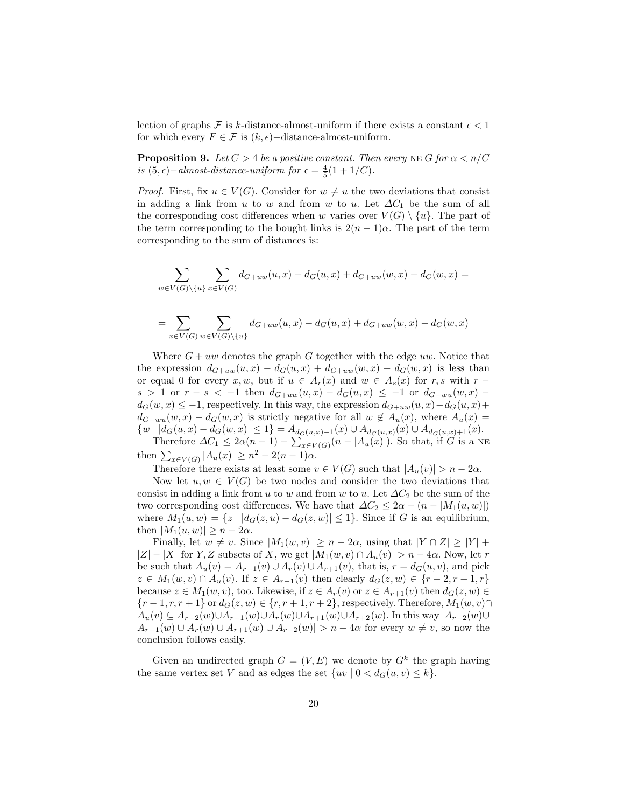lection of graphs F is k-distance-almost-uniform if there exists a constant  $\epsilon < 1$ for which every  $F \in \mathcal{F}$  is  $(k, \epsilon)$  –distance-almost-uniform.

**Proposition 9.** Let  $C > 4$  be a positive constant. Then every NE G for  $\alpha < n/C$ is  $(5, \epsilon)$  – almost-distance-uniform for  $\epsilon = \frac{4}{5}(1 + 1/C)$ .

*Proof.* First, fix  $u \in V(G)$ . Consider for  $w \neq u$  the two deviations that consist in adding a link from u to w and from w to u. Let  $\Delta C_1$  be the sum of all the corresponding cost differences when w varies over  $V(G) \setminus \{u\}$ . The part of the term corresponding to the bought links is  $2(n-1)\alpha$ . The part of the term corresponding to the sum of distances is:

$$
\sum_{w \in V(G) \setminus \{u\}} \sum_{x \in V(G)} d_{G+uw}(u, x) - d_G(u, x) + d_{G+uw}(w, x) - d_G(w, x) =
$$

$$
= \sum_{x \in V(G)} \sum_{w \in V(G) \setminus \{u\}} d_{G+uw}(u, x) - d_G(u, x) + d_{G+uw}(w, x) - d_G(w, x)
$$

Where  $G + uw$  denotes the graph G together with the edge uw. Notice that the expression  $d_{G+uw}(u, x) - d_G(u, x) + d_{G+uw}(w, x) - d_G(w, x)$  is less than or equal 0 for every x, w, but if  $u \in A_r(x)$  and  $w \in A_s(x)$  for r, s with r – s > 1 or  $r - s < -1$  then  $d_{G+uw}(u, x) - d_G(u, x) \le -1$  or  $d_{G+wu}(w, x)$  $d_G(w, x) \leq -1$ , respectively. In this way, the expression  $d_{G+uw}(u, x) - d_G(u, x) +$  $d_{G+wu}(w, x) - d_G(w, x)$  is strictly negative for all  $w \notin A_u(x)$ , where  $A_u(x) =$  $\{w \mid |d_G(u,x) - d_G(w,x)| \leq 1\} = A_{d_G(u,x)-1}(x) \cup A_{d_G(u,x)}(x) \cup A_{d_G(u,x)+1}(x).$ 

Therefore  $\Delta C_1 \leq 2\alpha(n-1) - \sum_{x \in V(G)} (n - |A_u(x)|)$ . So that, if G is a NE then  $\sum_{x \in V(G)} |A_u(x)| \geq n^2 - 2(n-1)\alpha$ .

Therefore there exists at least some  $v \in V(G)$  such that  $|A_u(v)| > n - 2\alpha$ .

Now let  $u, w \in V(G)$  be two nodes and consider the two deviations that consist in adding a link from u to w and from w to u. Let  $\Delta C_2$  be the sum of the two corresponding cost differences. We have that  $\Delta C_2 \leq 2\alpha - (n - |M_1(u, w)|)$ where  $M_1(u, w) = \{z \mid |d_G(z, u) - d_G(z, w)| \leq 1\}$ . Since if G is an equilibrium, then  $|M_1(u, w)| \geq n - 2\alpha$ .

Finally, let  $w \neq v$ . Since  $|M_1(w, v)| \geq n - 2\alpha$ , using that  $|Y \cap Z| \geq |Y| +$  $|Z| - |X|$  for Y, Z subsets of X, we get  $|M_1(w, v) \cap A_u(v)| > n - 4\alpha$ . Now, let r be such that  $A_u(v) = A_{r-1}(v) \cup A_r(v) \cup A_{r+1}(v)$ , that is,  $r = d_G(u, v)$ , and pick  $z \in M_1(w, v) \cap A_u(v)$ . If  $z \in A_{r-1}(v)$  then clearly  $d_G(z, w) \in \{r-2, r-1, r\}$ because  $z \in M_1(w, v)$ , too. Likewise, if  $z \in A_r(v)$  or  $z \in A_{r+1}(v)$  then  $d_G(z, w) \in$  $\{r-1, r, r+1\}$  or  $d_G(z, w) \in \{r, r+1, r+2\}$ , respectively. Therefore,  $M_1(w, v) \cap$  $A_u(v) \subseteq A_{r-2}(w) \cup A_{r-1}(w) \cup A_r(w) \cup A_{r+1}(w) \cup A_{r+2}(w)$ . In this way  $|A_{r-2}(w) \cup A_r(w)| \cup A_{r+1}(w) \cup A_{r+2}(w)$  $A_{r-1}(w) \cup A_r(w) \cup A_{r+1}(w) \cup A_{r+2}(w) > n-4\alpha$  for every  $w \neq v$ , so now the conclusion follows easily.

Given an undirected graph  $G = (V, E)$  we denote by  $G^k$  the graph having the same vertex set V and as edges the set  $\{uv \mid 0 < d_G(u, v) \leq k\}.$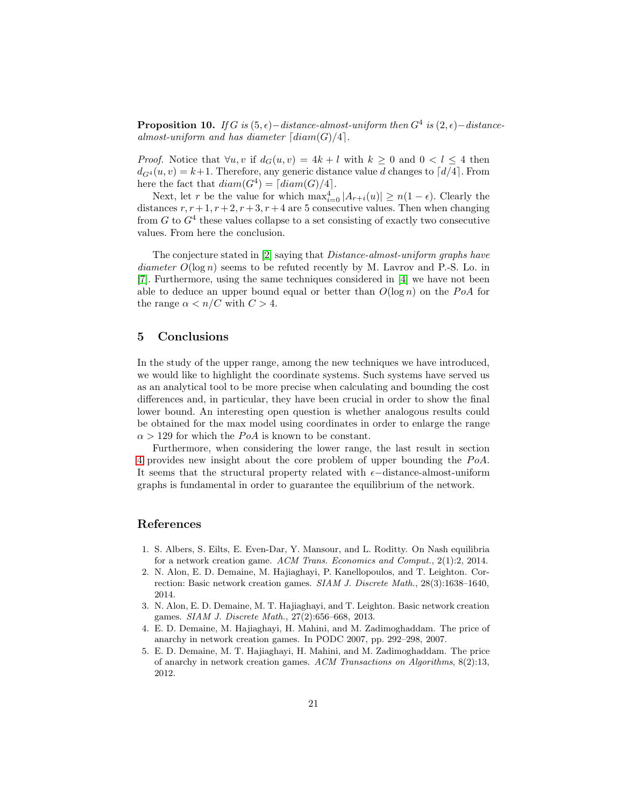**Proposition 10.** If G is  $(5, \epsilon)$  − distance-almost-uniform then  $G^4$  is  $(2, \epsilon)$  − distancealmost-uniform and has diameter  $\lceil diam(G)/4 \rceil$ .

*Proof.* Notice that  $\forall u, v$  if  $d_G(u, v) = 4k + l$  with  $k \geq 0$  and  $0 < l \leq 4$  then  $d_{G^4}(u, v) = k+1$ . Therefore, any generic distance value d changes to  $\lceil d/4 \rceil$ . From here the fact that  $diam(G^4) = \lceil diam(G)/4 \rceil$ .

Next, let r be the value for which  $\max_{i=0}^4 |A_{r+i}(u)| \ge n(1-\epsilon)$ . Clearly the distances  $r, r+1, r+2, r+3, r+4$  are 5 consecutive values. Then when changing from  $G$  to  $G<sup>4</sup>$  these values collapse to a set consisting of exactly two consecutive values. From here the conclusion.

The conjecture stated in [\[2\]](#page-20-2) saying that Distance-almost-uniform graphs have diameter  $O(\log n)$  seems to be refuted recently by M. Lavrov and P.-S. Lo. in [\[7\]](#page-21-4). Furthermore, using the same techniques considered in [\[4\]](#page-20-1) we have not been able to deduce an upper bound equal or better than  $O(\log n)$  on the PoA for the range  $\alpha < n/C$  with  $C > 4$ .

## 5 Conclusions

In the study of the upper range, among the new techniques we have introduced, we would like to highlight the coordinate systems. Such systems have served us as an analytical tool to be more precise when calculating and bounding the cost differences and, in particular, they have been crucial in order to show the final lower bound. An interesting open question is whether analogous results could be obtained for the max model using coordinates in order to enlarge the range  $\alpha > 129$  for which the PoA is known to be constant.

Furthermore, when considering the lower range, the last result in section [4](#page-18-1) provides new insight about the core problem of upper bounding the  $PoA$ . It seems that the structural property related with  $\epsilon$ −distance-almost-uniform graphs is fundamental in order to guarantee the equilibrium of the network.

### References

- <span id="page-20-0"></span>1. S. Albers, S. Eilts, E. Even-Dar, Y. Mansour, and L. Roditty. On Nash equilibria for a network creation game. ACM Trans. Economics and Comput., 2(1):2, 2014.
- <span id="page-20-2"></span>2. N. Alon, E. D. Demaine, M. Hajiaghayi, P. Kanellopoulos, and T. Leighton. Correction: Basic network creation games. SIAM J. Discrete Math., 28(3):1638–1640, 2014.
- 3. N. Alon, E. D. Demaine, M. T. Hajiaghayi, and T. Leighton. Basic network creation games. SIAM J. Discrete Math., 27(2):656–668, 2013.
- <span id="page-20-1"></span>4. E. D. Demaine, M. Hajiaghayi, H. Mahini, and M. Zadimoghaddam. The price of anarchy in network creation games. In PODC 2007, pp. 292–298, 2007.
- 5. E. D. Demaine, M. T. Hajiaghayi, H. Mahini, and M. Zadimoghaddam. The price of anarchy in network creation games. ACM Transactions on Algorithms, 8(2):13, 2012.